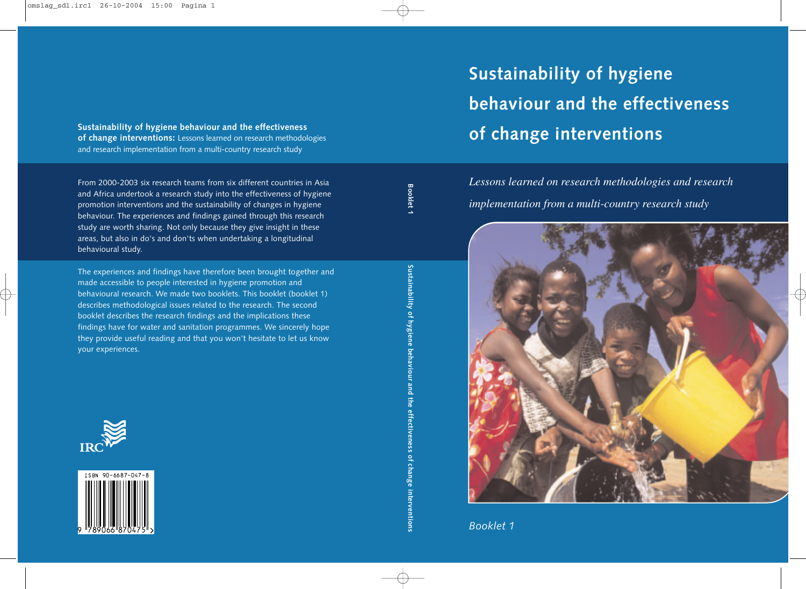**Sustainability of hygiene behaviour and the effectiveness of change interventions:** Lessons learned on research methodologies and research implementation from a multi-country research study

From 2000-2003 six research teams from six different countries in Asia and Africa undertook a research study into the effectiveness of hygiene promotion interventions and the sustainability of changes in hygiene behaviour. The experiences and findings gained through this research study are worth sharing. Not only because they give insight in these areas, but also in do's and don'ts when undertaking a longitudinal behavioural study.

The experiences and findings have therefore been brought together and made accessible to people interested in hygiene promotion and behavioural research. We made two booklets. This booklet (booklet 1) describes methodological issues related to the research. The second booklet describes the research findings and the implications these findings have for water and sanitation programmes. We sincerely hope they provide useful reading and that you won't hesitate to let us know your experiences.

**Booklet Booklet 1 Sustainability of hygiene behaviour and the effectiveness of change interventions**

Sustainability of hygiene change interventions

behaviou

ettectiveness of

**Sustainability of hygiene behaviour and the effectiveness of change interventions**

*Lessons learned on research methodologies and research implementation from a multi-country research study*



*Booklet 1*



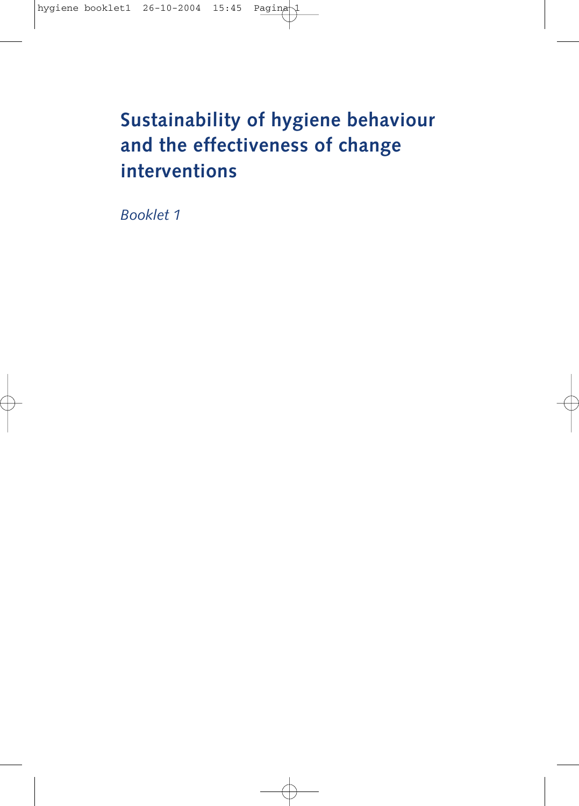# **Sustainability of hygiene behaviour and the effectiveness of change interventions**

*Booklet 1*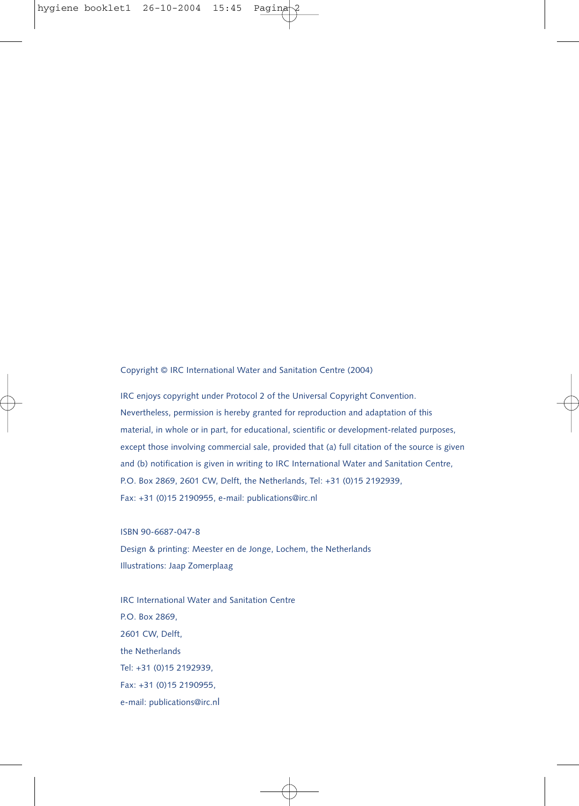Copyright © IRC International Water and Sanitation Centre (2004)

IRC enjoys copyright under Protocol 2 of the Universal Copyright Convention. Nevertheless, permission is hereby granted for reproduction and adaptation of this material, in whole or in part, for educational, scientific or development-related purposes, except those involving commercial sale, provided that (a) full citation of the source is given and (b) notification is given in writing to IRC International Water and Sanitation Centre, P.O. Box 2869, 2601 CW, Delft, the Netherlands, Tel: +31 (0)15 2192939, Fax: +31 (0)15 2190955, e-mail: publications@irc.nl

ISBN 90-6687-047-8

Design & printing: Meester en de Jonge, Lochem, the Netherlands Illustrations: Jaap Zomerplaag

IRC International Water and Sanitation Centre P.O. Box 2869, 2601 CW, Delft, the Netherlands Tel: +31 (0)15 2192939, Fax: +31 (0)15 2190955, e-mail: publications@irc.nl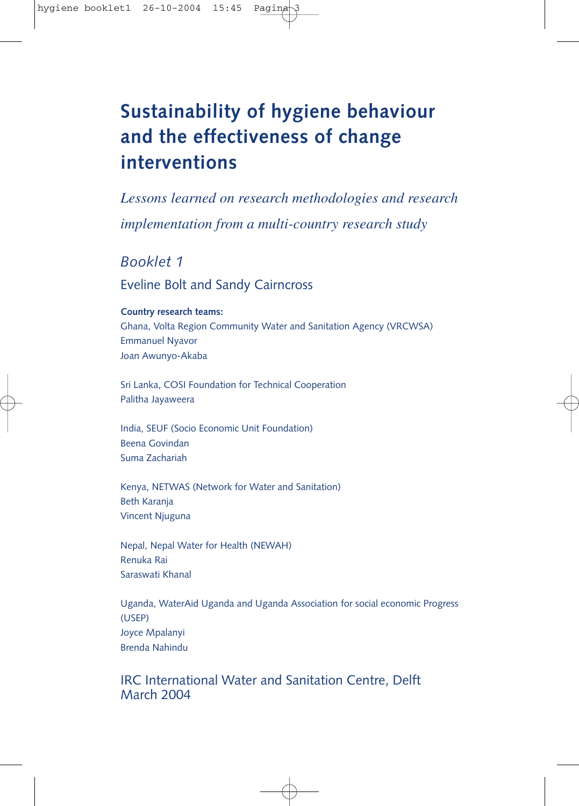# **Sustainability of hygiene behaviour and the effectiveness of change interventions**

*Lessons learned on research methodologies and research implementation from a multi-country research study*

## *Booklet 1*

Eveline Bolt and Sandy Cairncross

#### **Country research teams:**

Ghana, Volta Region Community Water and Sanitation Agency (VRCWSA) Emmanuel Nyavor Joan Awunyo-Akaba

Sri Lanka, COSI Foundation for Technical Cooperation Palitha Jayaweera

India, SEUF (Socio Economic Unit Foundation) Beena Govindan Suma Zachariah

Kenya, NETWAS (Network for Water and Sanitation) Beth Karanja Vincent Njuguna

Nepal, Nepal Water for Health (NEWAH) Renuka Rai Saraswati Khanal

Uganda, WaterAid Uganda and Uganda Association for social economic Progress (USEP) Joyce Mpalanyi Brenda Nahindu

IRC International Water and Sanitation Centre, Delft March 2004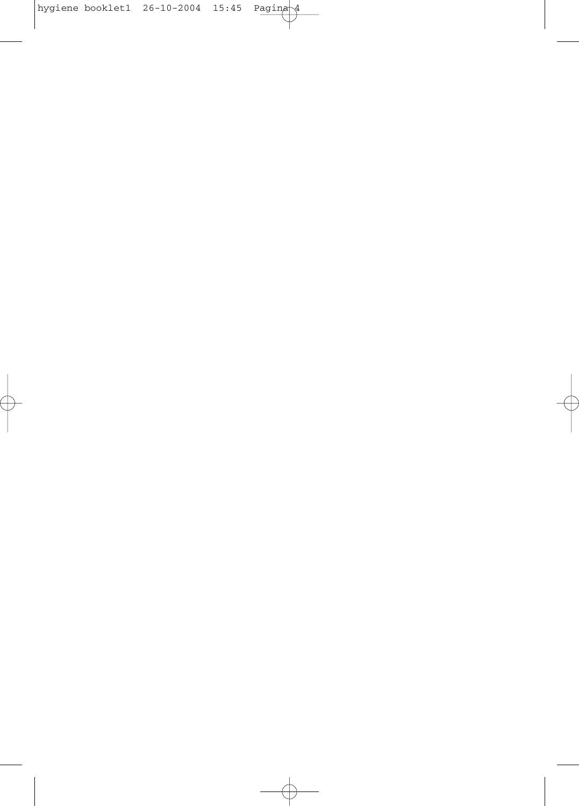hygiene booklet1 26-10-2004 15:45 Pagina 4

 $\overline{\bigoplus}$ 

 $\overrightarrow{1}$ 

 $\displaystyle \bigoplus$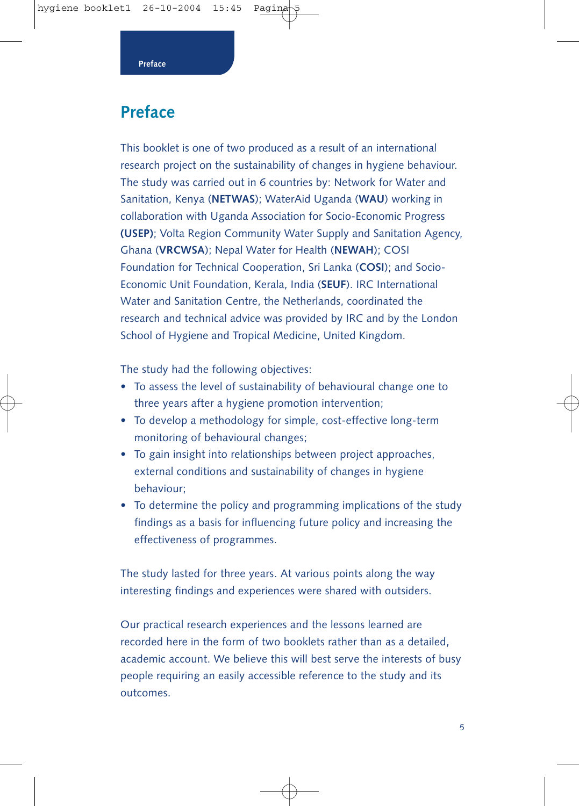#### **Preface**

## **Preface**

This booklet is one of two produced as a result of an international research project on the sustainability of changes in hygiene behaviour. The study was carried out in 6 countries by: Network for Water and Sanitation, Kenya (**NETWAS**); WaterAid Uganda (**WAU**) working in collaboration with Uganda Association for Socio-Economic Progress **(USEP)**; Volta Region Community Water Supply and Sanitation Agency, Ghana (**VRCWSA**); Nepal Water for Health (**NEWAH**); COSI Foundation for Technical Cooperation, Sri Lanka (**COSI**); and Socio-Economic Unit Foundation, Kerala, India (**SEUF**). IRC International Water and Sanitation Centre, the Netherlands, coordinated the research and technical advice was provided by IRC and by the London School of Hygiene and Tropical Medicine, United Kingdom.

The study had the following objectives:

- To assess the level of sustainability of behavioural change one to three years after a hygiene promotion intervention;
- To develop a methodology for simple, cost-effective long-term monitoring of behavioural changes;
- To gain insight into relationships between project approaches, external conditions and sustainability of changes in hygiene behaviour;
- To determine the policy and programming implications of the study findings as a basis for influencing future policy and increasing the effectiveness of programmes.

The study lasted for three years. At various points along the way interesting findings and experiences were shared with outsiders.

Our practical research experiences and the lessons learned are recorded here in the form of two booklets rather than as a detailed, academic account. We believe this will best serve the interests of busy people requiring an easily accessible reference to the study and its outcomes.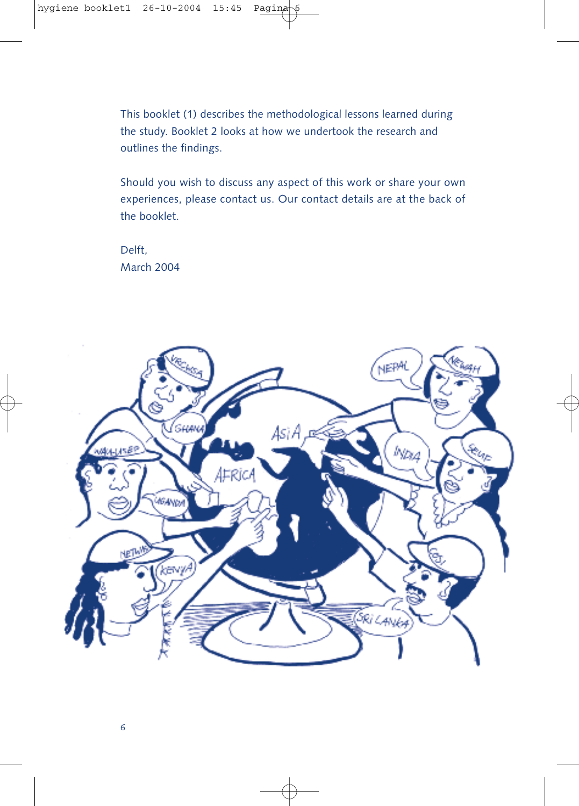This booklet (1) describes the methodological lessons learned during the study. Booklet 2 looks at how we undertook the research and outlines the findings.

Should you wish to discuss any aspect of this work or share your own experiences, please contact us. Our contact details are at the back of the booklet.

Delft, March 2004

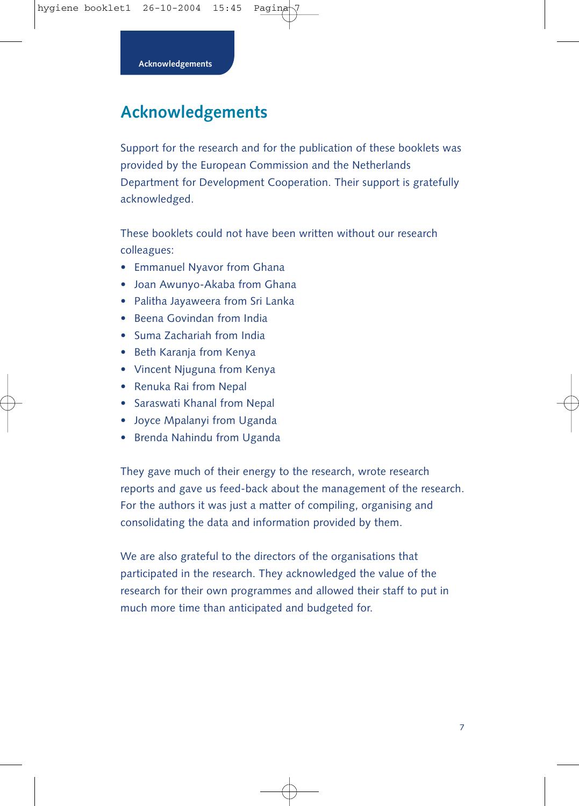**Acknowledgements**

## **Acknowledgements**

Support for the research and for the publication of these booklets was provided by the European Commission and the Netherlands Department for Development Cooperation. Their support is gratefully acknowledged.

These booklets could not have been written without our research colleagues:

- Emmanuel Nyavor from Ghana
- Joan Awunyo-Akaba from Ghana
- Palitha Jayaweera from Sri Lanka
- Beena Govindan from India
- Suma Zachariah from India
- Beth Karanja from Kenya
- Vincent Njuguna from Kenya
- Renuka Rai from Nepal
- Saraswati Khanal from Nepal
- Joyce Mpalanyi from Uganda
- Brenda Nahindu from Uganda

They gave much of their energy to the research, wrote research reports and gave us feed-back about the management of the research. For the authors it was just a matter of compiling, organising and consolidating the data and information provided by them.

We are also grateful to the directors of the organisations that participated in the research. They acknowledged the value of the research for their own programmes and allowed their staff to put in much more time than anticipated and budgeted for.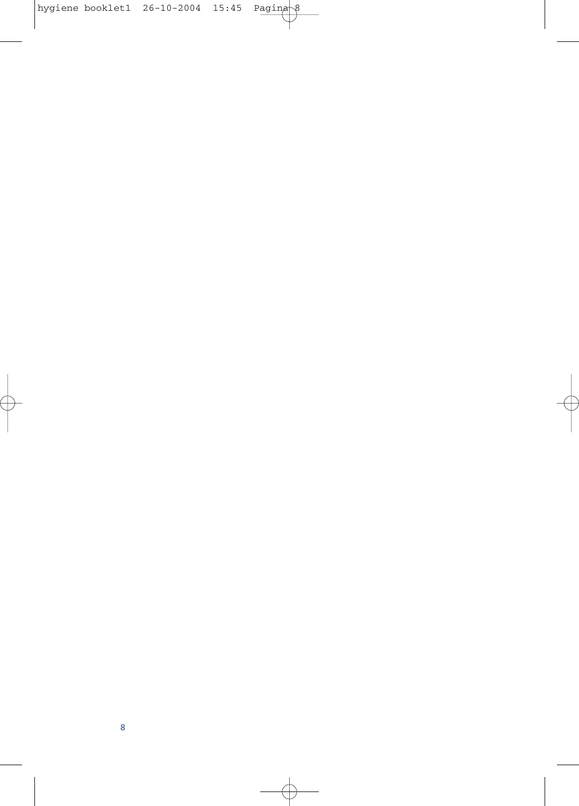hygiene booklet1 26-10-2004 15:45 Pagina 8

 $\oplus$ 

 $\bigoplus$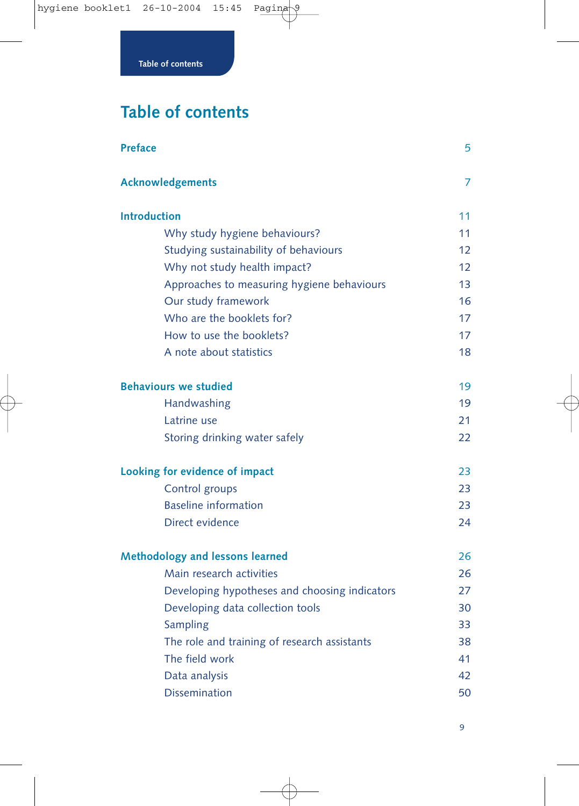**Table of contents**

## **Table of contents**

| <b>Preface</b>                                | 5  |
|-----------------------------------------------|----|
| <b>Acknowledgements</b>                       | 7  |
| <b>Introduction</b>                           | 11 |
| Why study hygiene behaviours?                 | 11 |
| Studying sustainability of behaviours         | 12 |
| Why not study health impact?                  | 12 |
| Approaches to measuring hygiene behaviours    | 13 |
| Our study framework                           | 16 |
| Who are the booklets for?                     | 17 |
| How to use the booklets?                      | 17 |
| A note about statistics                       | 18 |
| <b>Behaviours we studied</b>                  | 19 |
| Handwashing                                   | 19 |
| Latrine use                                   | 21 |
| Storing drinking water safely                 | 22 |
| Looking for evidence of impact                | 23 |
| Control groups                                | 23 |
| <b>Baseline information</b>                   | 23 |
| Direct evidence                               | 24 |
| <b>Methodology and lessons learned</b>        | 26 |
| Main research activities                      | 26 |
| Developing hypotheses and choosing indicators | 27 |
| Developing data collection tools              | 30 |
| Sampling                                      | 33 |
| The role and training of research assistants  | 38 |
| The field work                                | 41 |
| Data analysis                                 | 42 |
| Dissemination                                 | 50 |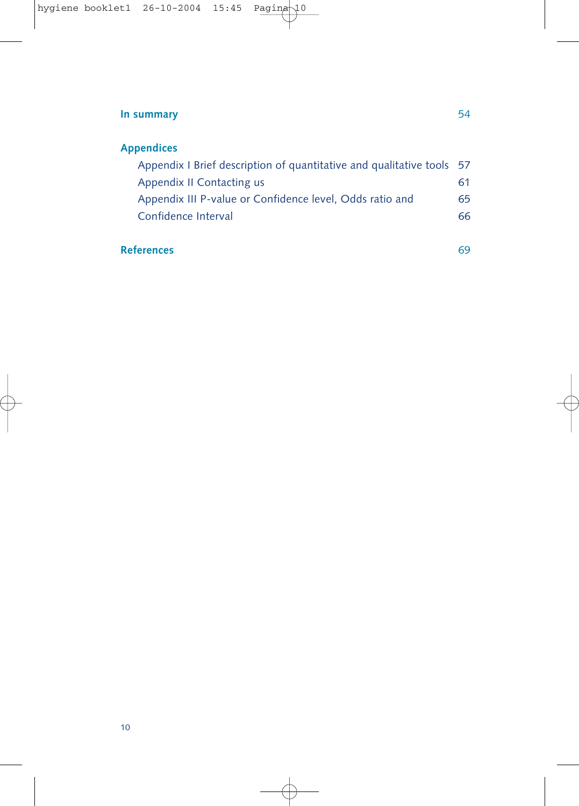## **In summary**

| <b>Appendices</b>                                                     |    |
|-----------------------------------------------------------------------|----|
| Appendix I Brief description of quantitative and qualitative tools 57 |    |
| Appendix II Contacting us                                             | 61 |
| Appendix III P-value or Confidence level, Odds ratio and              | 65 |
| Confidence Interval                                                   | 66 |
|                                                                       |    |
| <b>References</b>                                                     |    |

54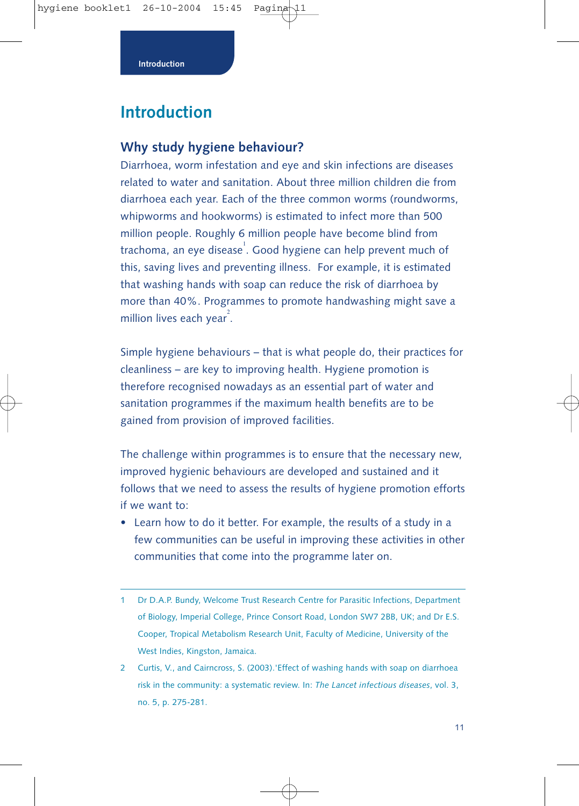#### **Introduction**

## **Introduction**

## **Why study hygiene behaviour?**

Diarrhoea, worm infestation and eye and skin infections are diseases related to water and sanitation. About three million children die from diarrhoea each year. Each of the three common worms (roundworms, whipworms and hookworms) is estimated to infect more than 500 million people. Roughly 6 million people have become blind from trachoma, an eye disease $^!$ . Good hygiene can help prevent much of this, saving lives and preventing illness. For example, it is estimated that washing hands with soap can reduce the risk of diarrhoea by more than 40%. Programmes to promote handwashing might save a million lives each year $\degree$ .

Simple hygiene behaviours – that is what people do, their practices for cleanliness – are key to improving health. Hygiene promotion is therefore recognised nowadays as an essential part of water and sanitation programmes if the maximum health benefits are to be gained from provision of improved facilities.

The challenge within programmes is to ensure that the necessary new, improved hygienic behaviours are developed and sustained and it follows that we need to assess the results of hygiene promotion efforts if we want to:

• Learn how to do it better. For example, the results of a study in a few communities can be useful in improving these activities in other communities that come into the programme later on.

Dr D.A.P. Bundy, Welcome Trust Research Centre for Parasitic Infections, Department of Biology, Imperial College, Prince Consort Road, London SW7 2BB, UK; and Dr E.S. Cooper, Tropical Metabolism Research Unit, Faculty of Medicine, University of the West Indies, Kingston, Jamaica.

<sup>2</sup> Curtis, V., and Cairncross, S. (2003).'Effect of washing hands with soap on diarrhoea risk in the community: a systematic review. In: *The Lancet infectious diseases*, vol. 3, no. 5, p. 275-281.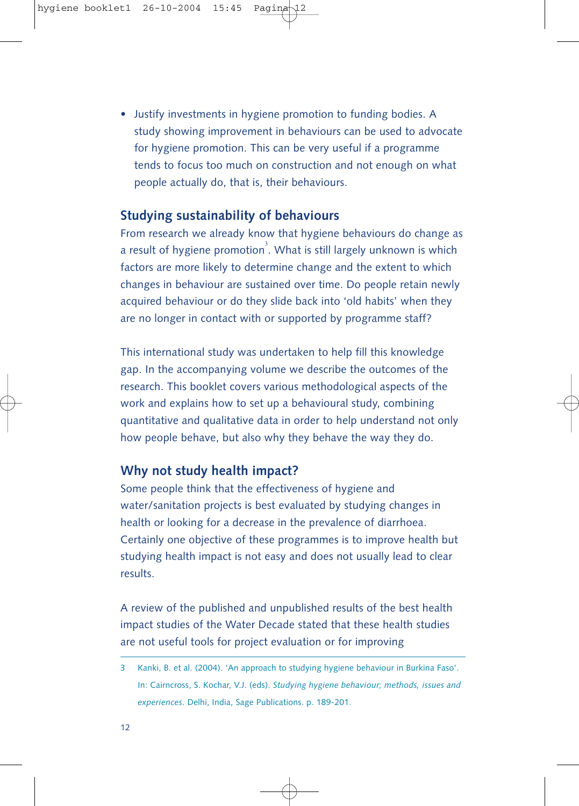• Justify investments in hygiene promotion to funding bodies. A study showing improvement in behaviours can be used to advocate for hygiene promotion. This can be very useful if a programme tends to focus too much on construction and not enough on what people actually do, that is, their behaviours.

#### **Studying sustainability of behaviours**

From research we already know that hygiene behaviours do change as a result of hygiene promotion $^{\rm 3}$ . What is still largely unknown is which factors are more likely to determine change and the extent to which changes in behaviour are sustained over time. Do people retain newly acquired behaviour or do they slide back into 'old habits' when they are no longer in contact with or supported by programme staff?

This international study was undertaken to help fill this knowledge gap. In the accompanying volume we describe the outcomes of the research. This booklet covers various methodological aspects of the work and explains how to set up a behavioural study, combining quantitative and qualitative data in order to help understand not only how people behave, but also why they behave the way they do.

#### **Why not study health impact?**

Some people think that the effectiveness of hygiene and water/sanitation projects is best evaluated by studying changes in health or looking for a decrease in the prevalence of diarrhoea. Certainly one objective of these programmes is to improve health but studying health impact is not easy and does not usually lead to clear results.

A review of the published and unpublished results of the best health impact studies of the Water Decade stated that these health studies are not useful tools for project evaluation or for improving

<sup>3</sup> Kanki, B. et al. (2004). 'An approach to studying hygiene behaviour in Burkina Faso'. In: Cairncross, S. Kochar, V.J. (eds). *Studying hygiene behaviour; methods, issues and experiences*. Delhi, India, Sage Publications. p. 189-201.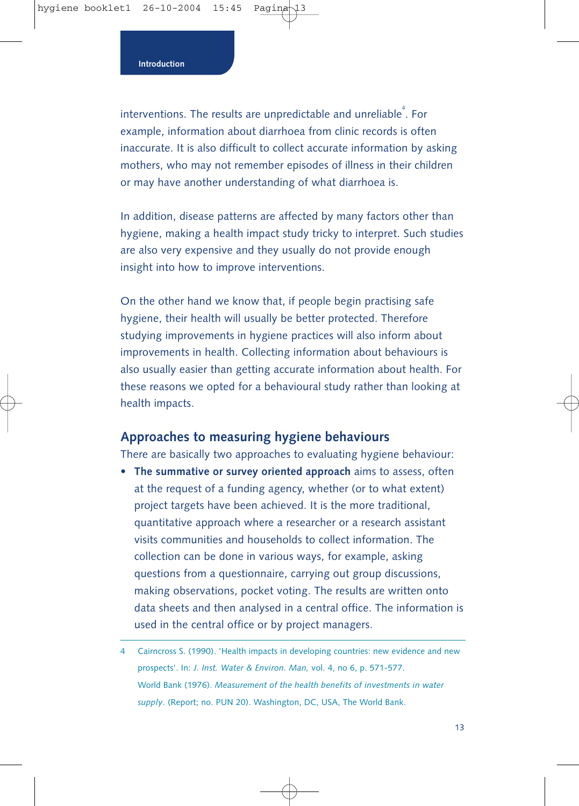#### **Introduction**

interventions. The results are unpredictable and unreliable $\overset{4}{\cdot}$ . For example, information about diarrhoea from clinic records is often inaccurate. It is also difficult to collect accurate information by asking mothers, who may not remember episodes of illness in their children or may have another understanding of what diarrhoea is.

In addition, disease patterns are affected by many factors other than hygiene, making a health impact study tricky to interpret. Such studies are also very expensive and they usually do not provide enough insight into how to improve interventions.

On the other hand we know that, if people begin practising safe hygiene, their health will usually be better protected. Therefore studying improvements in hygiene practices will also inform about improvements in health. Collecting information about behaviours is also usually easier than getting accurate information about health. For these reasons we opted for a behavioural study rather than looking at health impacts.

## **Approaches to measuring hygiene behaviours**

There are basically two approaches to evaluating hygiene behaviour:

**• The summative or survey oriented approach** aims to assess, often at the request of a funding agency, whether (or to what extent) project targets have been achieved. It is the more traditional, quantitative approach where a researcher or a research assistant visits communities and households to collect information. The collection can be done in various ways, for example, asking questions from a questionnaire, carrying out group discussions, making observations, pocket voting. The results are written onto data sheets and then analysed in a central office. The information is used in the central office or by project managers.

<sup>4</sup> Cairncross S. (1990). 'Health impacts in developing countries: new evidence and new prospects'. In: *J. Inst. Water & Environ. Man,* vol. 4, no 6, p. 571-577. World Bank (1976). *Measurement of the health benefits of investments in water supply*. (Report; no. PUN 20). Washington, DC, USA, The World Bank.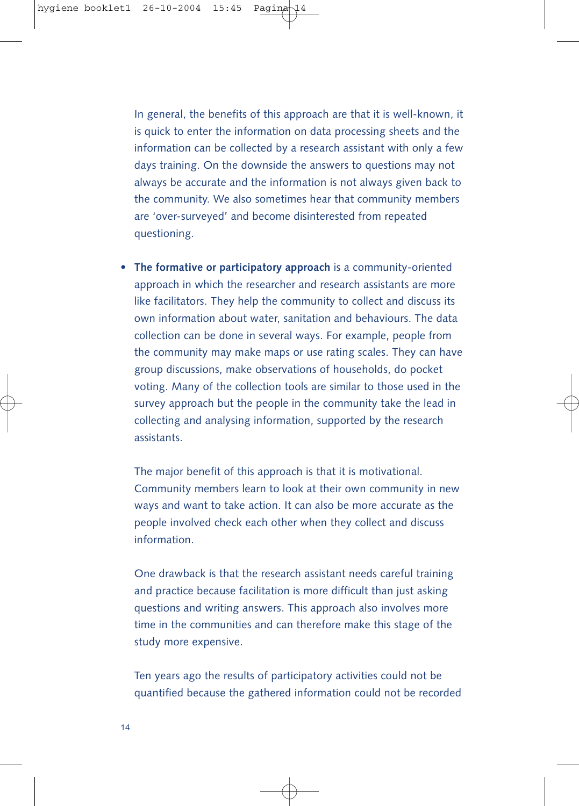In general, the benefits of this approach are that it is well-known, it is quick to enter the information on data processing sheets and the information can be collected by a research assistant with only a few days training. On the downside the answers to questions may not always be accurate and the information is not always given back to the community. We also sometimes hear that community members are 'over-surveyed' and become disinterested from repeated questioning.

**• The formative or participatory approach** is a community-oriented approach in which the researcher and research assistants are more like facilitators. They help the community to collect and discuss its own information about water, sanitation and behaviours. The data collection can be done in several ways. For example, people from the community may make maps or use rating scales. They can have group discussions, make observations of households, do pocket voting. Many of the collection tools are similar to those used in the survey approach but the people in the community take the lead in collecting and analysing information, supported by the research assistants.

The major benefit of this approach is that it is motivational. Community members learn to look at their own community in new ways and want to take action. It can also be more accurate as the people involved check each other when they collect and discuss information.

One drawback is that the research assistant needs careful training and practice because facilitation is more difficult than just asking questions and writing answers. This approach also involves more time in the communities and can therefore make this stage of the study more expensive.

Ten years ago the results of participatory activities could not be quantified because the gathered information could not be recorded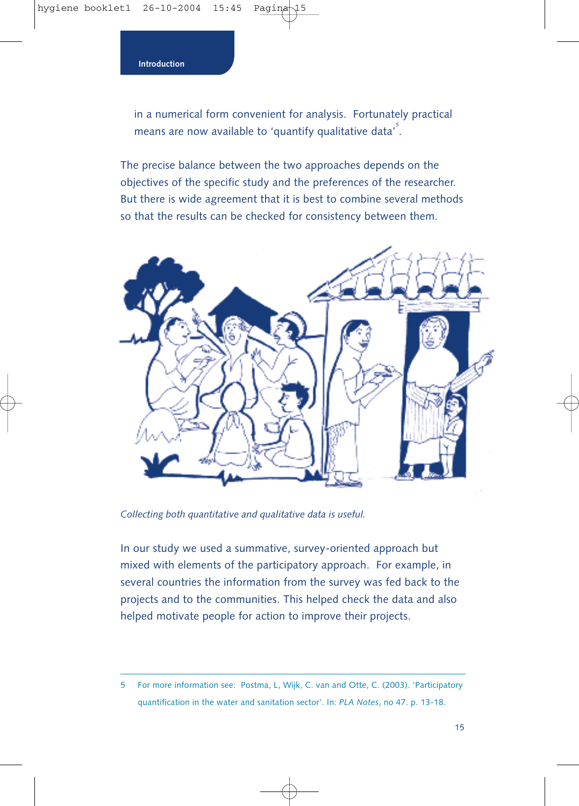#### **Introduction**

in a numerical form convenient for analysis. Fortunately practical means are now available to 'quantify qualitative data'<sup>5</sup>.

The precise balance between the two approaches depends on the objectives of the specific study and the preferences of the researcher. But there is wide agreement that it is best to combine several methods so that the results can be checked for consistency between them.



*Collecting both quantitative and qualitative data is useful.*

In our study we used a summative, survey-oriented approach but mixed with elements of the participatory approach. For example, in several countries the information from the survey was fed back to the projects and to the communities. This helped check the data and also helped motivate people for action to improve their projects.

5 For more information see: Postma, L, Wijk, C. van and Otte, C. (2003). 'Participatory quantification in the water and sanitation sector'. In: *PLA Notes*, no 47. p. 13-18.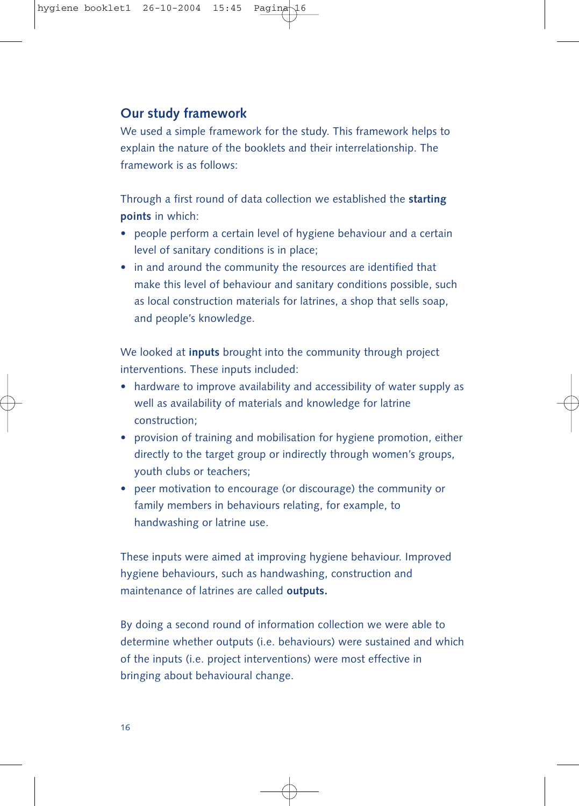## **Our study framework**

We used a simple framework for the study. This framework helps to explain the nature of the booklets and their interrelationship. The framework is as follows:

Through a first round of data collection we established the **starting points** in which:

- people perform a certain level of hygiene behaviour and a certain level of sanitary conditions is in place;
- in and around the community the resources are identified that make this level of behaviour and sanitary conditions possible, such as local construction materials for latrines, a shop that sells soap, and people's knowledge.

We looked at **inputs** brought into the community through project interventions. These inputs included:

- hardware to improve availability and accessibility of water supply as well as availability of materials and knowledge for latrine construction;
- provision of training and mobilisation for hygiene promotion, either directly to the target group or indirectly through women's groups, youth clubs or teachers;
- peer motivation to encourage (or discourage) the community or family members in behaviours relating, for example, to handwashing or latrine use.

These inputs were aimed at improving hygiene behaviour. Improved hygiene behaviours, such as handwashing, construction and maintenance of latrines are called **outputs.**

By doing a second round of information collection we were able to determine whether outputs (i.e. behaviours) were sustained and which of the inputs (i.e. project interventions) were most effective in bringing about behavioural change.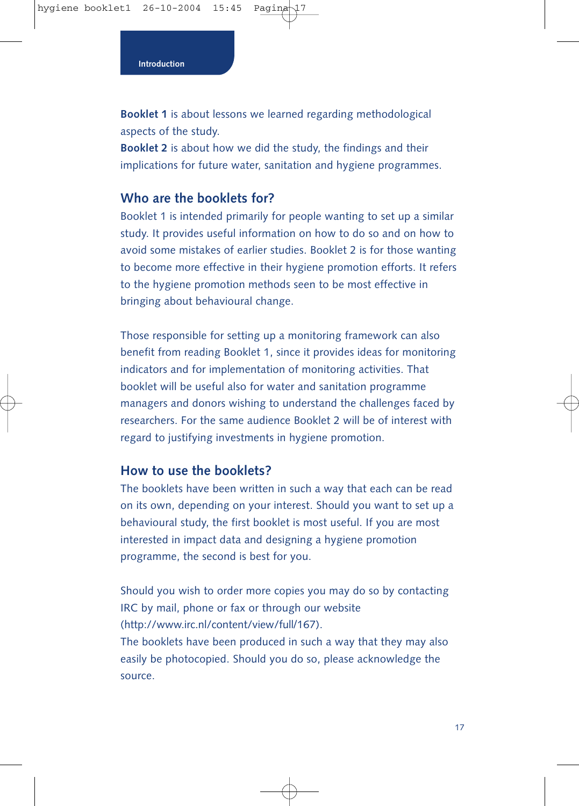

**Introduction**

**Booklet 1** is about lessons we learned regarding methodological aspects of the study.

**Booklet 2** is about how we did the study, the findings and their implications for future water, sanitation and hygiene programmes.

## **Who are the booklets for?**

Booklet 1 is intended primarily for people wanting to set up a similar study. It provides useful information on how to do so and on how to avoid some mistakes of earlier studies. Booklet 2 is for those wanting to become more effective in their hygiene promotion efforts. It refers to the hygiene promotion methods seen to be most effective in bringing about behavioural change.

Those responsible for setting up a monitoring framework can also benefit from reading Booklet 1, since it provides ideas for monitoring indicators and for implementation of monitoring activities. That booklet will be useful also for water and sanitation programme managers and donors wishing to understand the challenges faced by researchers. For the same audience Booklet 2 will be of interest with regard to justifying investments in hygiene promotion.

### **How to use the booklets?**

The booklets have been written in such a way that each can be read on its own, depending on your interest. Should you want to set up a behavioural study, the first booklet is most useful. If you are most interested in impact data and designing a hygiene promotion programme, the second is best for you.

Should you wish to order more copies you may do so by contacting IRC by mail, phone or fax or through our website (http://www.irc.nl/content/view/full/167).

The booklets have been produced in such a way that they may also easily be photocopied. Should you do so, please acknowledge the source.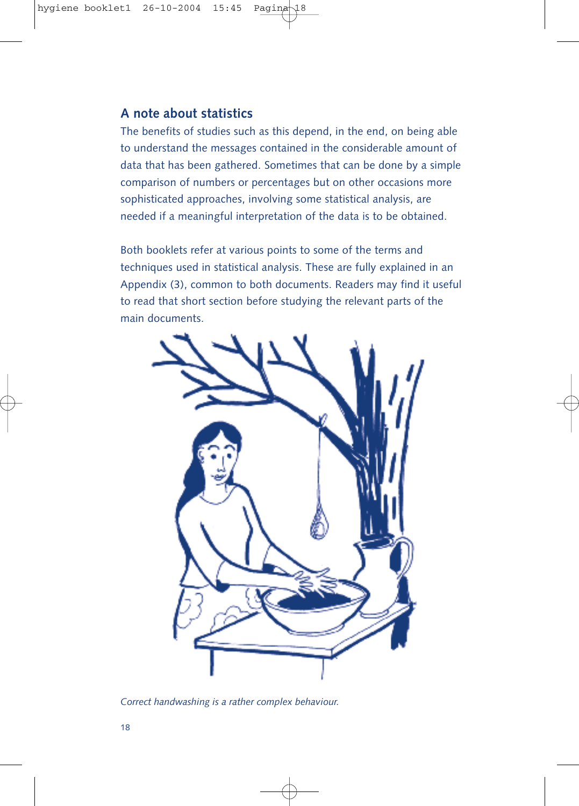## **A note about statistics**

The benefits of studies such as this depend, in the end, on being able to understand the messages contained in the considerable amount of data that has been gathered. Sometimes that can be done by a simple comparison of numbers or percentages but on other occasions more sophisticated approaches, involving some statistical analysis, are needed if a meaningful interpretation of the data is to be obtained.

Both booklets refer at various points to some of the terms and techniques used in statistical analysis. These are fully explained in an Appendix (3), common to both documents. Readers may find it useful to read that short section before studying the relevant parts of the main documents.



*Correct handwashing is a rather complex behaviour.*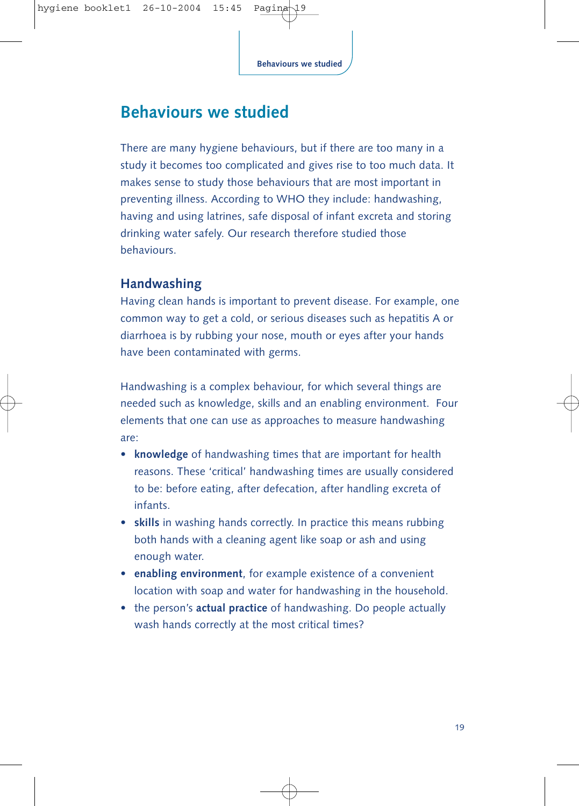**Behaviours we studied**

## **Behaviours we studied**

There are many hygiene behaviours, but if there are too many in a study it becomes too complicated and gives rise to too much data. It makes sense to study those behaviours that are most important in preventing illness. According to WHO they include: handwashing, having and using latrines, safe disposal of infant excreta and storing drinking water safely. Our research therefore studied those behaviours.

## **Handwashing**

Having clean hands is important to prevent disease. For example, one common way to get a cold, or serious diseases such as hepatitis A or diarrhoea is by rubbing your nose, mouth or eyes after your hands have been contaminated with germs.

Handwashing is a complex behaviour, for which several things are needed such as knowledge, skills and an enabling environment. Four elements that one can use as approaches to measure handwashing are:

- **• knowledge** of handwashing times that are important for health reasons. These 'critical' handwashing times are usually considered to be: before eating, after defecation, after handling excreta of infants.
- **• skills** in washing hands correctly. In practice this means rubbing both hands with a cleaning agent like soap or ash and using enough water.
- **• enabling environment**, for example existence of a convenient location with soap and water for handwashing in the household.
- the person's **actual practice** of handwashing. Do people actually wash hands correctly at the most critical times?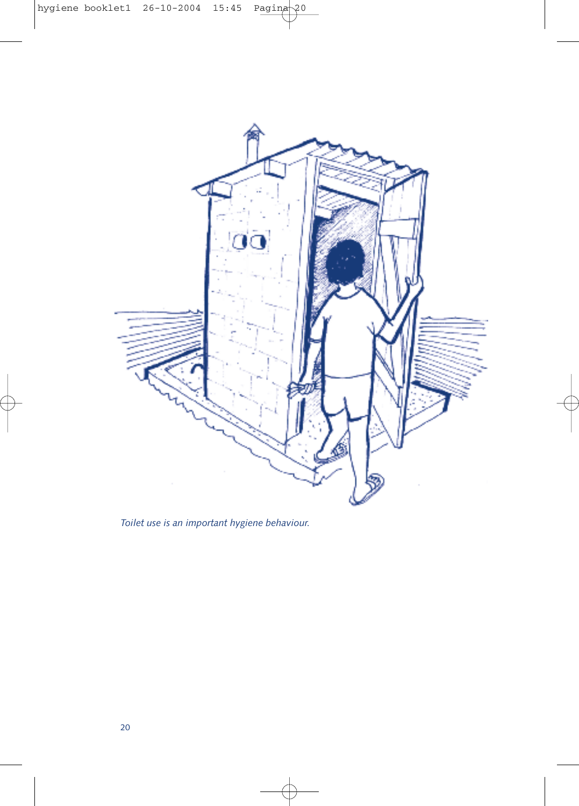

*Toilet use is an important hygiene behaviour.*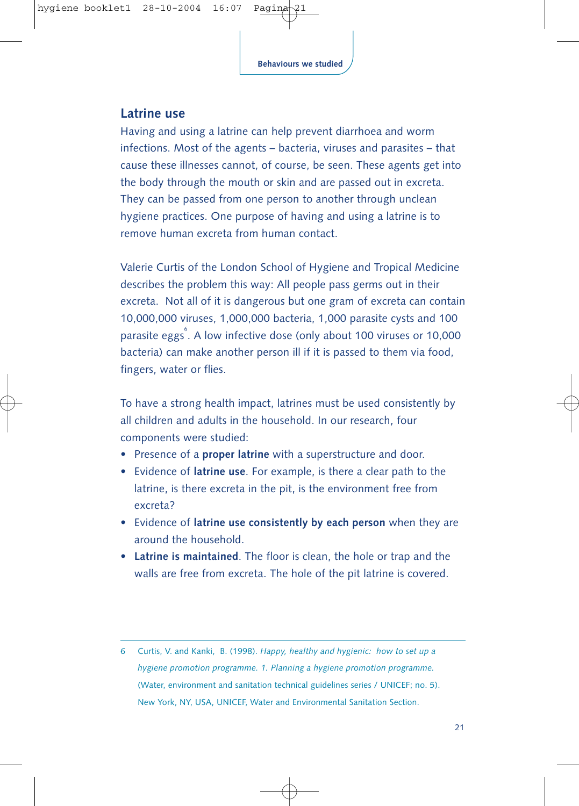**Behaviours we studied**

### **Latrine use**

Having and using a latrine can help prevent diarrhoea and worm infections. Most of the agents – bacteria, viruses and parasites – that cause these illnesses cannot, of course, be seen. These agents get into the body through the mouth or skin and are passed out in excreta. They can be passed from one person to another through unclean hygiene practices. One purpose of having and using a latrine is to remove human excreta from human contact.

Valerie Curtis of the London School of Hygiene and Tropical Medicine describes the problem this way: All people pass germs out in their excreta. Not all of it is dangerous but one gram of excreta can contain 10,000,000 viruses, 1,000,000 bacteria, 1,000 parasite cysts and 100 parasite eggs $\degree$ . A low infective dose (only about 100 viruses or 10,000 bacteria) can make another person ill if it is passed to them via food, fingers, water or flies.

To have a strong health impact, latrines must be used consistently by all children and adults in the household. In our research, four components were studied:

- Presence of a **proper latrine** with a superstructure and door.
- Evidence of **latrine use**. For example, is there a clear path to the latrine, is there excreta in the pit, is the environment free from excreta?
- Evidence of **latrine use consistently by each person** when they are around the household.
- **Latrine is maintained**. The floor is clean, the hole or trap and the walls are free from excreta. The hole of the pit latrine is covered.

<sup>6</sup> Curtis, V. and Kanki, B. (1998). *Happy, healthy and hygienic: how to set up a hygiene promotion programme. 1. Planning a hygiene promotion programme.* (Water, environment and sanitation technical guidelines series / UNICEF; no. 5). New York, NY, USA, UNICEF, Water and Environmental Sanitation Section.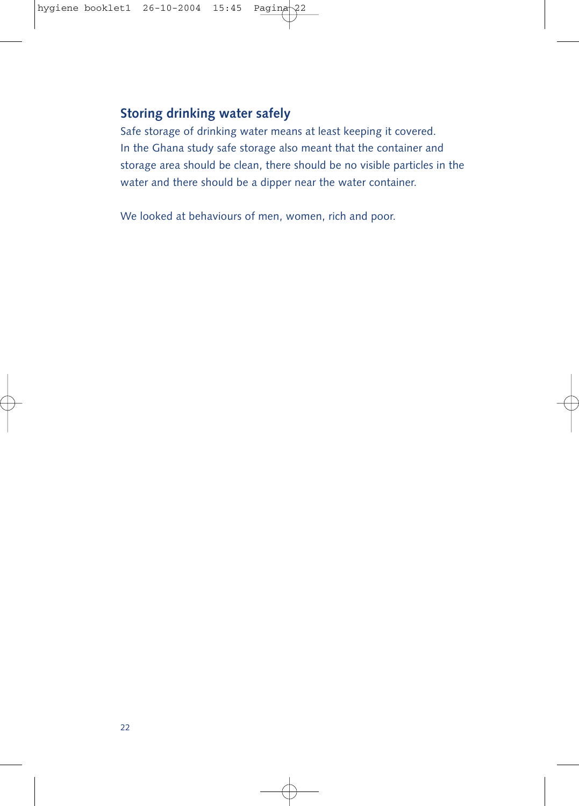## **Storing drinking water safely**

Safe storage of drinking water means at least keeping it covered. In the Ghana study safe storage also meant that the container and storage area should be clean, there should be no visible particles in the water and there should be a dipper near the water container.

We looked at behaviours of men, women, rich and poor.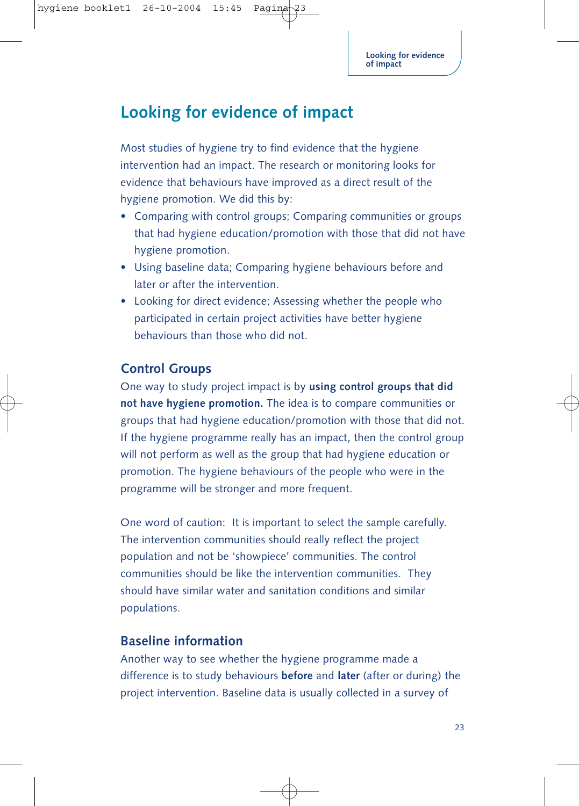## **Looking for evidence of impact**

Most studies of hygiene try to find evidence that the hygiene intervention had an impact. The research or monitoring looks for evidence that behaviours have improved as a direct result of the hygiene promotion. We did this by:

- Comparing with control groups; Comparing communities or groups that had hygiene education/promotion with those that did not have hygiene promotion.
- Using baseline data; Comparing hygiene behaviours before and later or after the intervention.
- Looking for direct evidence; Assessing whether the people who participated in certain project activities have better hygiene behaviours than those who did not.

## **Control Groups**

One way to study project impact is by **using control groups that did not have hygiene promotion.** The idea is to compare communities or groups that had hygiene education/promotion with those that did not. If the hygiene programme really has an impact, then the control group will not perform as well as the group that had hygiene education or promotion. The hygiene behaviours of the people who were in the programme will be stronger and more frequent.

One word of caution: It is important to select the sample carefully. The intervention communities should really reflect the project population and not be 'showpiece' communities. The control communities should be like the intervention communities. They should have similar water and sanitation conditions and similar populations.

## **Baseline information**

Another way to see whether the hygiene programme made a difference is to study behaviours **before** and **later** (after or during) the project intervention. Baseline data is usually collected in a survey of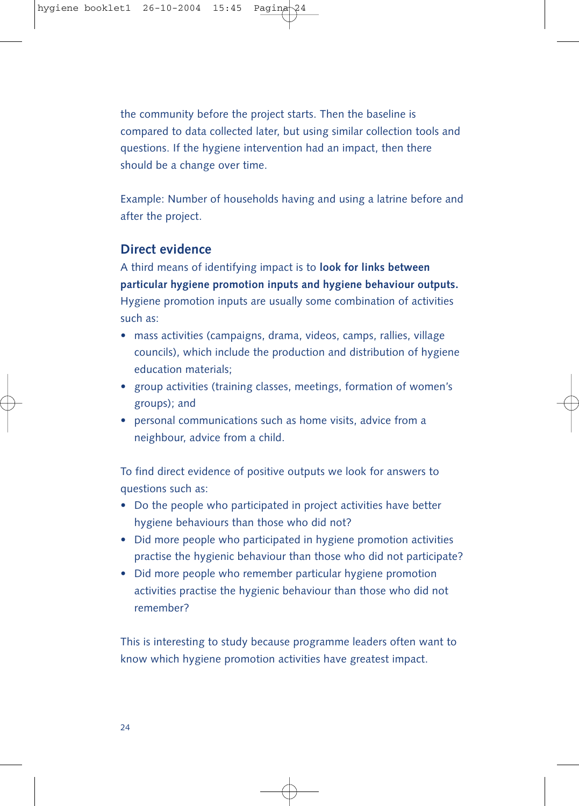the community before the project starts. Then the baseline is compared to data collected later, but using similar collection tools and questions. If the hygiene intervention had an impact, then there should be a change over time.

Example: Number of households having and using a latrine before and after the project.

## **Direct evidence**

A third means of identifying impact is to **look for links between particular hygiene promotion inputs and hygiene behaviour outputs.** Hygiene promotion inputs are usually some combination of activities such as:

- mass activities (campaigns, drama, videos, camps, rallies, village councils), which include the production and distribution of hygiene education materials;
- group activities (training classes, meetings, formation of women's groups); and
- personal communications such as home visits, advice from a neighbour, advice from a child.

To find direct evidence of positive outputs we look for answers to questions such as:

- Do the people who participated in project activities have better hygiene behaviours than those who did not?
- Did more people who participated in hygiene promotion activities practise the hygienic behaviour than those who did not participate?
- Did more people who remember particular hygiene promotion activities practise the hygienic behaviour than those who did not remember?

This is interesting to study because programme leaders often want to know which hygiene promotion activities have greatest impact.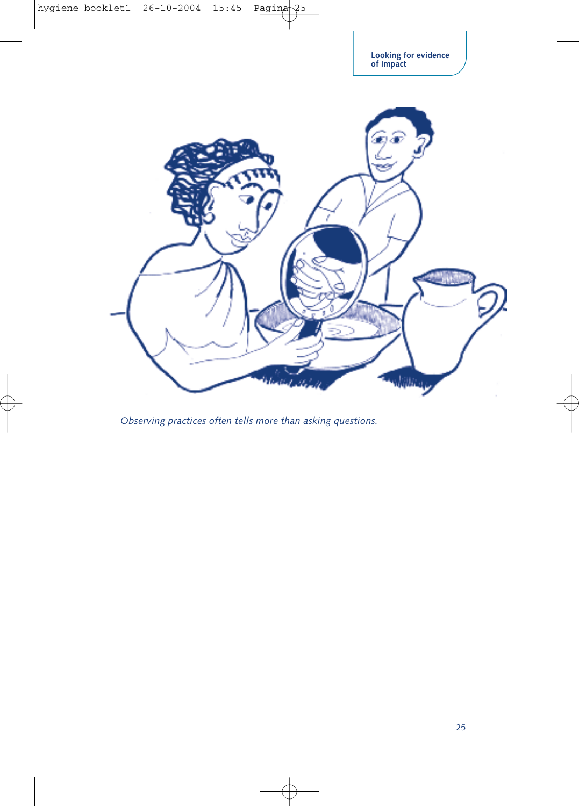

*Observing practices often tells more than asking questions.*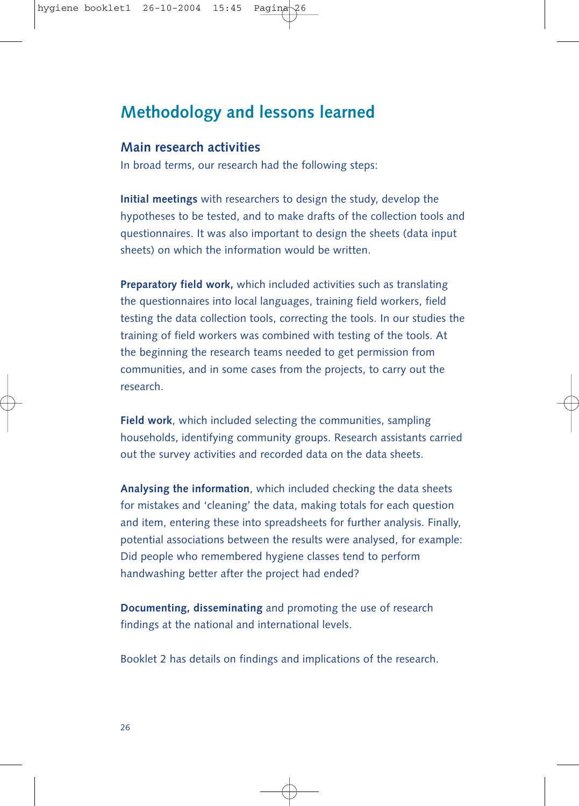hygiene booklet1 26-10-2004 15:45

## **Methodology and lessons learned**

## **Main research activities**

In broad terms, our research had the following steps:

**Initial meetings** with researchers to design the study, develop the hypotheses to be tested, and to make drafts of the collection tools and questionnaires. It was also important to design the sheets (data input sheets) on which the information would be written.

**Preparatory field work,** which included activities such as translating the questionnaires into local languages, training field workers, field testing the data collection tools, correcting the tools. In our studies the training of field workers was combined with testing of the tools. At the beginning the research teams needed to get permission from communities, and in some cases from the projects, to carry out the research.

**Field work**, which included selecting the communities, sampling households, identifying community groups. Research assistants carried out the survey activities and recorded data on the data sheets.

**Analysing the information**, which included checking the data sheets for mistakes and 'cleaning' the data, making totals for each question and item, entering these into spreadsheets for further analysis. Finally, potential associations between the results were analysed, for example: Did people who remembered hygiene classes tend to perform handwashing better after the project had ended?

**Documenting, disseminating** and promoting the use of research findings at the national and international levels.

Booklet 2 has details on findings and implications of the research.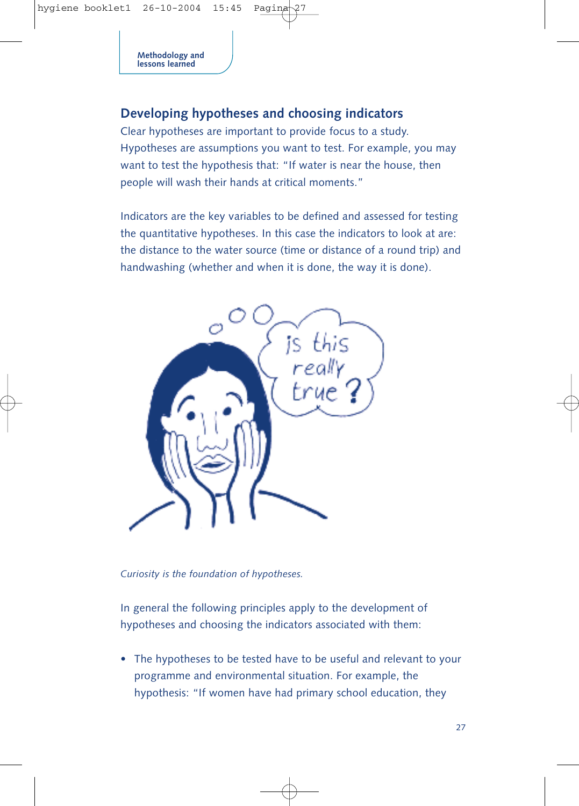**Methodology and lessons learned**

## **Developing hypotheses and choosing indicators**

Clear hypotheses are important to provide focus to a study. Hypotheses are assumptions you want to test. For example, you may want to test the hypothesis that: "If water is near the house, then people will wash their hands at critical moments."

Indicators are the key variables to be defined and assessed for testing the quantitative hypotheses. In this case the indicators to look at are: the distance to the water source (time or distance of a round trip) and handwashing (whether and when it is done, the way it is done).



*Curiosity is the foundation of hypotheses.*

In general the following principles apply to the development of hypotheses and choosing the indicators associated with them:

• The hypotheses to be tested have to be useful and relevant to your programme and environmental situation. For example, the hypothesis: "If women have had primary school education, they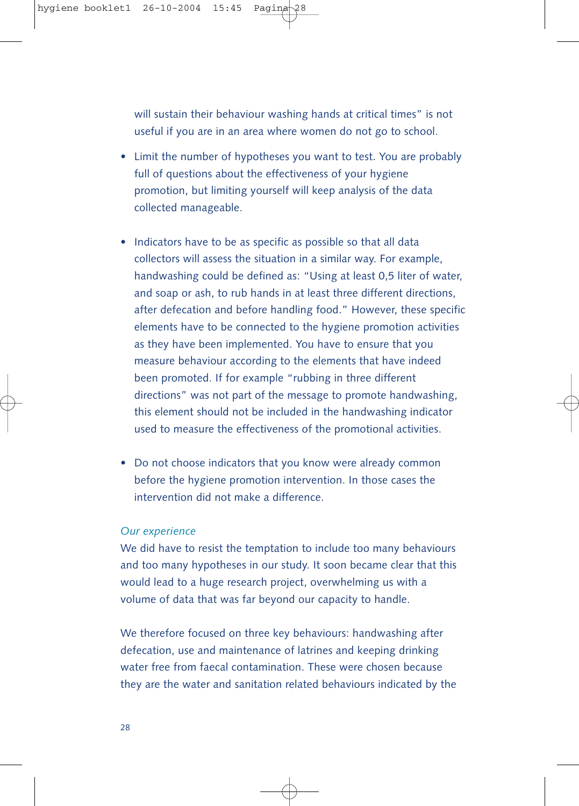will sustain their behaviour washing hands at critical times" is not useful if you are in an area where women do not go to school.

- Limit the number of hypotheses you want to test. You are probably full of questions about the effectiveness of your hygiene promotion, but limiting yourself will keep analysis of the data collected manageable.
- Indicators have to be as specific as possible so that all data collectors will assess the situation in a similar way. For example, handwashing could be defined as: "Using at least 0,5 liter of water, and soap or ash, to rub hands in at least three different directions, after defecation and before handling food." However, these specific elements have to be connected to the hygiene promotion activities as they have been implemented. You have to ensure that you measure behaviour according to the elements that have indeed been promoted. If for example "rubbing in three different directions" was not part of the message to promote handwashing, this element should not be included in the handwashing indicator used to measure the effectiveness of the promotional activities.
- Do not choose indicators that you know were already common before the hygiene promotion intervention. In those cases the intervention did not make a difference.

#### *Our experience*

We did have to resist the temptation to include too many behaviours and too many hypotheses in our study. It soon became clear that this would lead to a huge research project, overwhelming us with a volume of data that was far beyond our capacity to handle.

We therefore focused on three key behaviours: handwashing after defecation, use and maintenance of latrines and keeping drinking water free from faecal contamination. These were chosen because they are the water and sanitation related behaviours indicated by the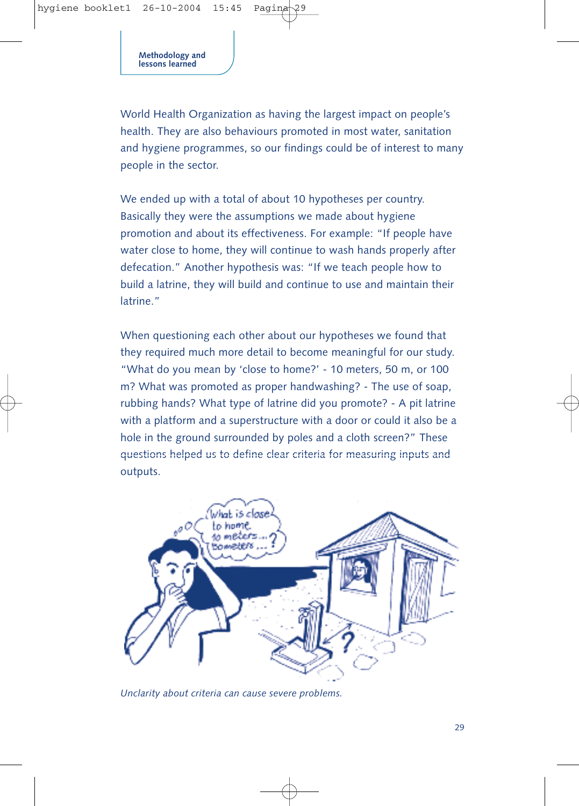**Methodology and lessons learned**

World Health Organization as having the largest impact on people's health. They are also behaviours promoted in most water, sanitation and hygiene programmes, so our findings could be of interest to many people in the sector.

We ended up with a total of about 10 hypotheses per country. Basically they were the assumptions we made about hygiene promotion and about its effectiveness. For example: "If people have water close to home, they will continue to wash hands properly after defecation." Another hypothesis was: "If we teach people how to build a latrine, they will build and continue to use and maintain their latrine."

When questioning each other about our hypotheses we found that they required much more detail to become meaningful for our study. "What do you mean by 'close to home?' - 10 meters, 50 m, or 100 m? What was promoted as proper handwashing? - The use of soap, rubbing hands? What type of latrine did you promote? - A pit latrine with a platform and a superstructure with a door or could it also be a hole in the ground surrounded by poles and a cloth screen?" These questions helped us to define clear criteria for measuring inputs and outputs.



*Unclarity about criteria can cause severe problems.*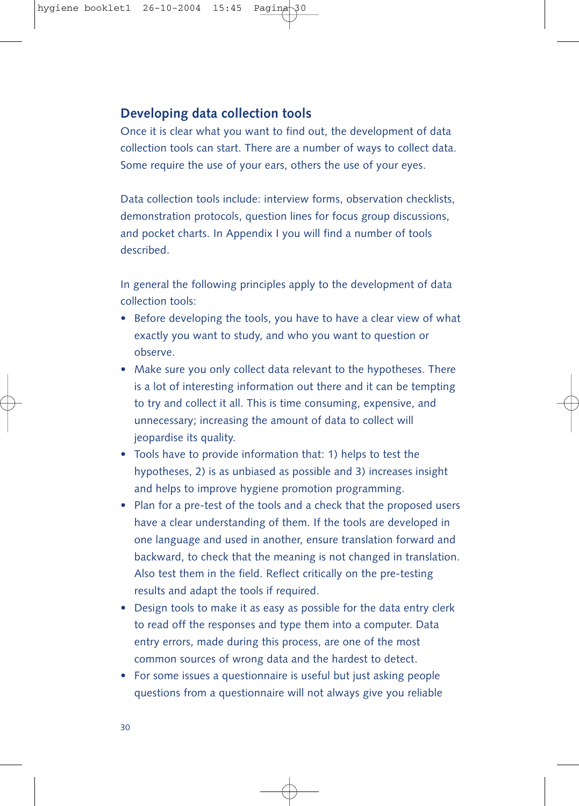### **Developing data collection tools**

Once it is clear what you want to find out, the development of data collection tools can start. There are a number of ways to collect data. Some require the use of your ears, others the use of your eyes.

Data collection tools include: interview forms, observation checklists, demonstration protocols, question lines for focus group discussions, and pocket charts. In Appendix I you will find a number of tools described.

In general the following principles apply to the development of data collection tools:

- Before developing the tools, you have to have a clear view of what exactly you want to study, and who you want to question or observe.
- Make sure you only collect data relevant to the hypotheses. There is a lot of interesting information out there and it can be tempting to try and collect it all. This is time consuming, expensive, and unnecessary; increasing the amount of data to collect will jeopardise its quality.
- Tools have to provide information that: 1) helps to test the hypotheses, 2) is as unbiased as possible and 3) increases insight and helps to improve hygiene promotion programming.
- Plan for a pre-test of the tools and a check that the proposed users have a clear understanding of them. If the tools are developed in one language and used in another, ensure translation forward and backward, to check that the meaning is not changed in translation. Also test them in the field. Reflect critically on the pre-testing results and adapt the tools if required.
- Design tools to make it as easy as possible for the data entry clerk to read off the responses and type them into a computer. Data entry errors, made during this process, are one of the most common sources of wrong data and the hardest to detect.
- For some issues a questionnaire is useful but just asking people questions from a questionnaire will not always give you reliable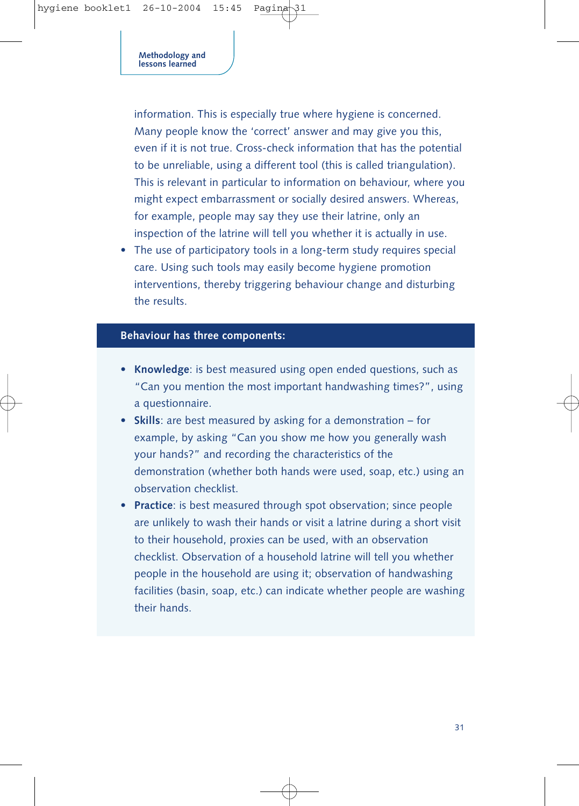#### **Methodology and lessons learned**

information. This is especially true where hygiene is concerned. Many people know the 'correct' answer and may give you this, even if it is not true. Cross-check information that has the potential to be unreliable, using a different tool (this is called triangulation). This is relevant in particular to information on behaviour, where you might expect embarrassment or socially desired answers. Whereas, for example, people may say they use their latrine, only an inspection of the latrine will tell you whether it is actually in use.

• The use of participatory tools in a long-term study requires special care. Using such tools may easily become hygiene promotion interventions, thereby triggering behaviour change and disturbing the results.

### **Behaviour has three components:**

- **• Knowledge**: is best measured using open ended questions, such as "Can you mention the most important handwashing times?", using a questionnaire.
- **• Skills**: are best measured by asking for a demonstration for example, by asking "Can you show me how you generally wash your hands?" and recording the characteristics of the demonstration (whether both hands were used, soap, etc.) using an observation checklist.
- **• Practice**: is best measured through spot observation; since people are unlikely to wash their hands or visit a latrine during a short visit to their household, proxies can be used, with an observation checklist. Observation of a household latrine will tell you whether people in the household are using it; observation of handwashing facilities (basin, soap, etc.) can indicate whether people are washing their hands.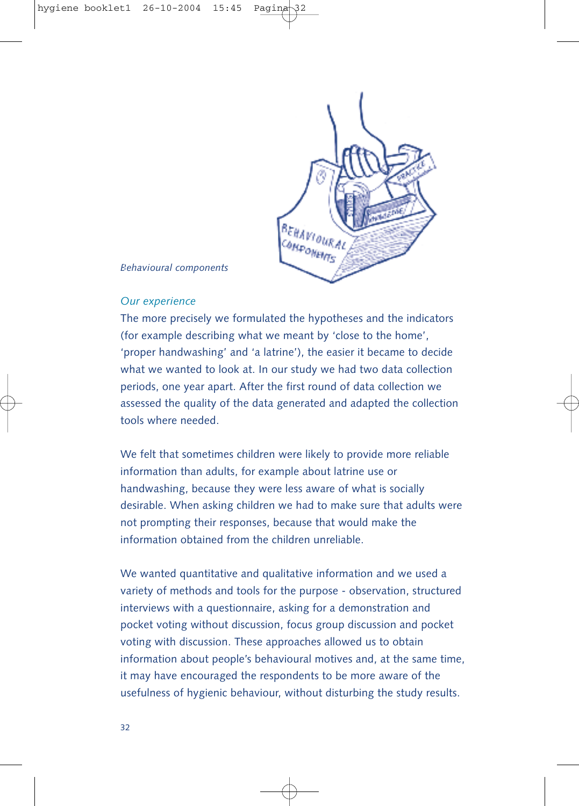

*Behavioural components*

#### *Our experience*

The more precisely we formulated the hypotheses and the indicators (for example describing what we meant by 'close to the home', 'proper handwashing' and 'a latrine'), the easier it became to decide what we wanted to look at. In our study we had two data collection periods, one year apart. After the first round of data collection we assessed the quality of the data generated and adapted the collection tools where needed.

We felt that sometimes children were likely to provide more reliable information than adults, for example about latrine use or handwashing, because they were less aware of what is socially desirable. When asking children we had to make sure that adults were not prompting their responses, because that would make the information obtained from the children unreliable.

We wanted quantitative and qualitative information and we used a variety of methods and tools for the purpose - observation, structured interviews with a questionnaire, asking for a demonstration and pocket voting without discussion, focus group discussion and pocket voting with discussion. These approaches allowed us to obtain information about people's behavioural motives and, at the same time, it may have encouraged the respondents to be more aware of the usefulness of hygienic behaviour, without disturbing the study results.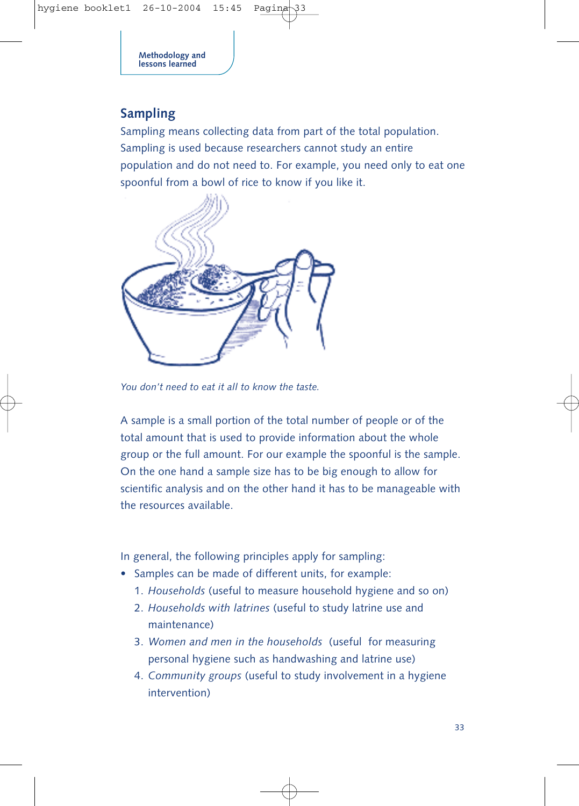**Methodology and lessons learned**

## **Sampling**

Sampling means collecting data from part of the total population. Sampling is used because researchers cannot study an entire population and do not need to. For example, you need only to eat one spoonful from a bowl of rice to know if you like it.



*You don't need to eat it all to know the taste.*

A sample is a small portion of the total number of people or of the total amount that is used to provide information about the whole group or the full amount. For our example the spoonful is the sample. On the one hand a sample size has to be big enough to allow for scientific analysis and on the other hand it has to be manageable with the resources available.

In general, the following principles apply for sampling:

- Samples can be made of different units, for example:
	- 1. *Households* (useful to measure household hygiene and so on)
	- 2. *Households with latrines* (useful to study latrine use and maintenance)
	- 3. *Women and men in the households* (useful for measuring personal hygiene such as handwashing and latrine use)
	- 4. *Community groups* (useful to study involvement in a hygiene intervention)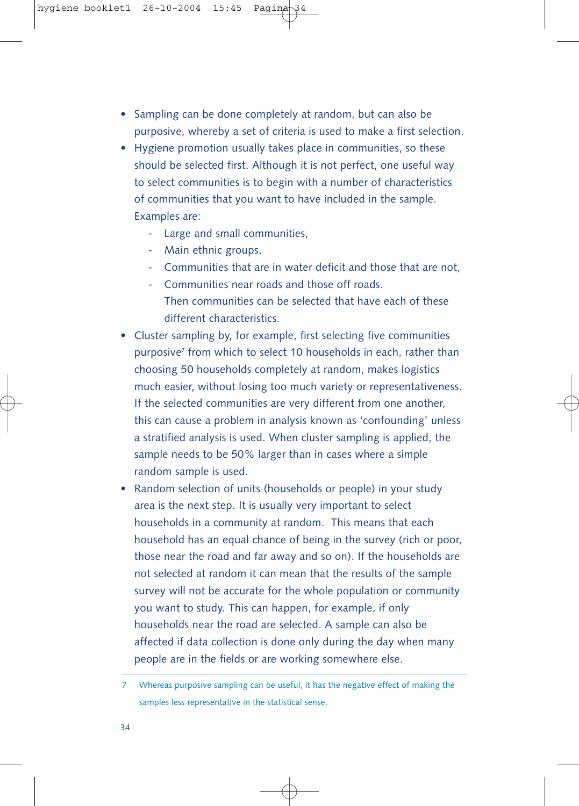- Sampling can be done completely at random, but can also be purposive, whereby a set of criteria is used to make a first selection.
- Hygiene promotion usually takes place in communities, so these should be selected first. Although it is not perfect, one useful way to select communities is to begin with a number of characteristics of communities that you want to have included in the sample. Examples are:
	- Large and small communities,
	- Main ethnic groups,
	- Communities that are in water deficit and those that are not,
	- Communities near roads and those off roads. Then communities can be selected that have each of these different characteristics.
- Cluster sampling by, for example, first selecting five communities purposive<sup>7</sup> from which to select 10 households in each, rather than choosing 50 households completely at random, makes logistics much easier, without losing too much variety or representativeness. If the selected communities are very different from one another, this can cause a problem in analysis known as 'confounding' unless a stratified analysis is used. When cluster sampling is applied, the sample needs to be 50% larger than in cases where a simple random sample is used.
- Random selection of units (households or people) in your study area is the next step. It is usually very important to select households in a community at random. This means that each household has an equal chance of being in the survey (rich or poor, those near the road and far away and so on). If the households are not selected at random it can mean that the results of the sample survey will not be accurate for the whole population or community you want to study. This can happen, for example, if only households near the road are selected. A sample can also be affected if data collection is done only during the day when many people are in the fields or are working somewhere else.

<sup>7</sup> Whereas purposive sampling can be useful, it has the negative effect of making the samples less representative in the statistical sense.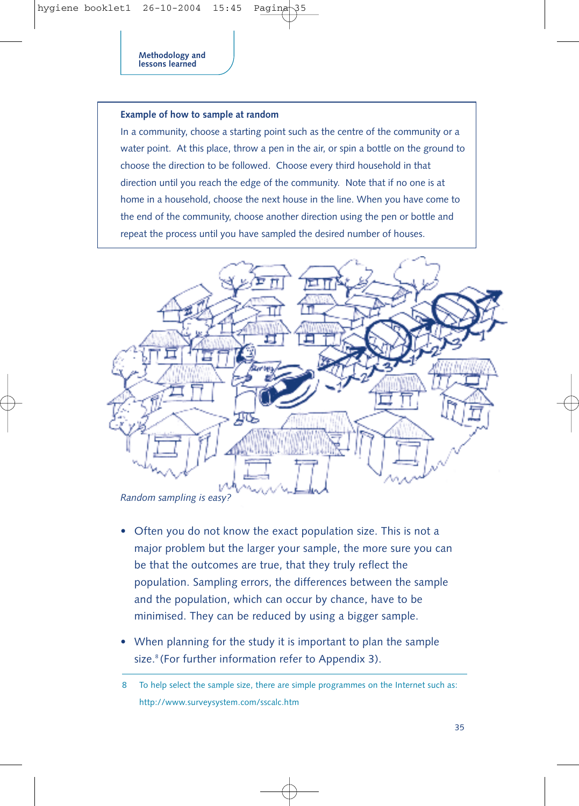**Methodology and lessons learned**

#### **Example of how to sample at random**

In a community, choose a starting point such as the centre of the community or a water point. At this place, throw a pen in the air, or spin a bottle on the ground to choose the direction to be followed. Choose every third household in that direction until you reach the edge of the community. Note that if no one is at home in a household, choose the next house in the line. When you have come to the end of the community, choose another direction using the pen or bottle and repeat the process until you have sampled the desired number of houses.



- Often you do not know the exact population size. This is not a major problem but the larger your sample, the more sure you can be that the outcomes are true, that they truly reflect the population. Sampling errors, the differences between the sample and the population, which can occur by chance, have to be minimised. They can be reduced by using a bigger sample.
- When planning for the study it is important to plan the sample size.<sup>8</sup> (For further information refer to Appendix 3).

<sup>8</sup> To help select the sample size, there are simple programmes on the Internet such as: http://www.surveysystem.com/sscalc.htm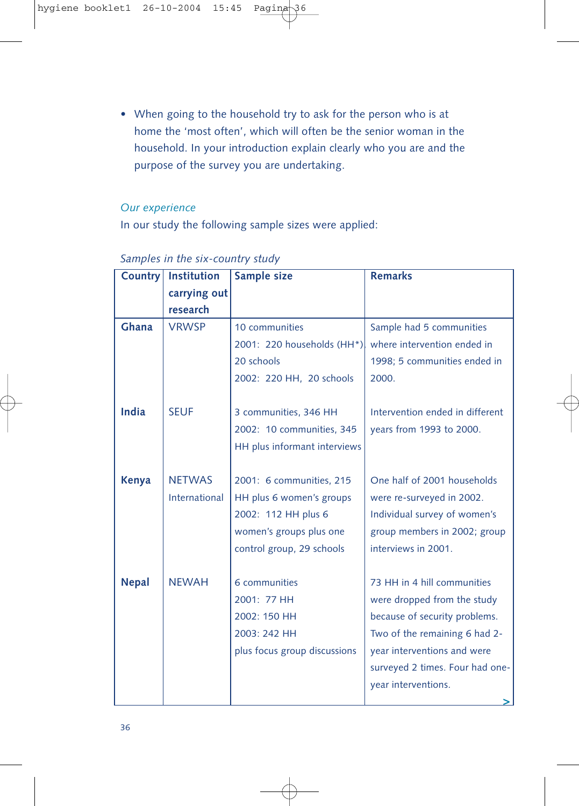• When going to the household try to ask for the person who is at home the 'most often', which will often be the senior woman in the household. In your introduction explain clearly who you are and the purpose of the survey you are undertaking.

## *Our experience*

In our study the following sample sizes were applied:

| <b>Country</b> | Institution   | Sample size                  | <b>Remarks</b>                  |
|----------------|---------------|------------------------------|---------------------------------|
|                | carrying out  |                              |                                 |
|                | research      |                              |                                 |
| Ghana          | <b>VRWSP</b>  | 10 communities               | Sample had 5 communities        |
|                |               | 2001: 220 households (HH*)   | where intervention ended in     |
|                |               | 20 schools                   | 1998; 5 communities ended in    |
|                |               | 2002: 220 HH, 20 schools     | 2000.                           |
|                |               |                              |                                 |
| India          | <b>SEUF</b>   | 3 communities, 346 HH        | Intervention ended in different |
|                |               | 2002: 10 communities, 345    | years from 1993 to 2000.        |
|                |               | HH plus informant interviews |                                 |
|                |               |                              |                                 |
| Kenya          | <b>NETWAS</b> | 2001: 6 communities, 215     | One half of 2001 households     |
|                | International | HH plus 6 women's groups     | were re-surveyed in 2002.       |
|                |               | 2002: 112 HH plus 6          | Individual survey of women's    |
|                |               | women's groups plus one      | group members in 2002; group    |
|                |               | control group, 29 schools    | interviews in 2001.             |
|                |               |                              |                                 |
| <b>Nepal</b>   | <b>NEWAH</b>  | 6 communities                | 73 HH in 4 hill communities     |
|                |               | 2001: 77 HH                  | were dropped from the study     |
|                |               | 2002: 150 HH                 | because of security problems.   |
|                |               | 2003: 242 HH                 | Two of the remaining 6 had 2-   |
|                |               | plus focus group discussions | year interventions and were     |
|                |               |                              | surveyed 2 times. Four had one- |
|                |               |                              | year interventions.             |
|                |               |                              |                                 |

## *Samples in the six-country study*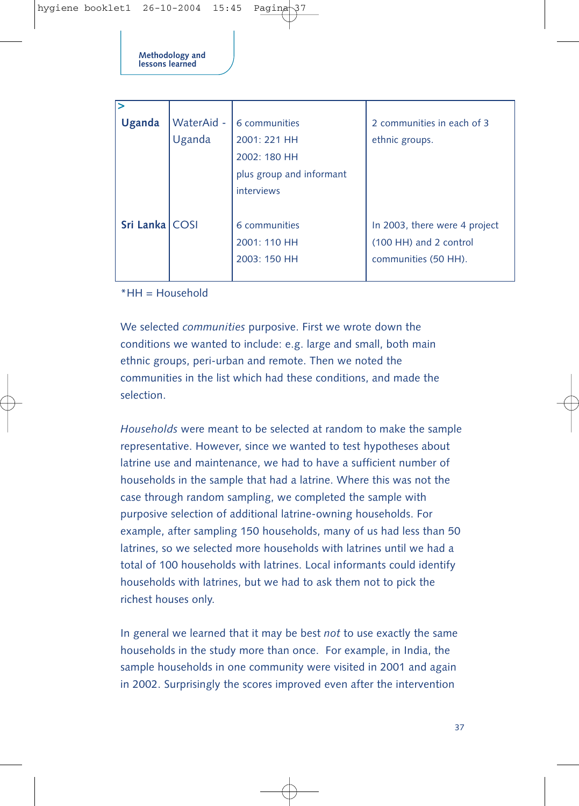**Methodology and lessons learned**

| $\geq$         |            |                          |                               |  |
|----------------|------------|--------------------------|-------------------------------|--|
| Uganda         | WaterAid - | 6 communities            | 2 communities in each of 3    |  |
|                | Uganda     | 2001: 221 HH             | ethnic groups.                |  |
|                |            | 2002: 180 HH             |                               |  |
|                |            | plus group and informant |                               |  |
|                |            | interviews               |                               |  |
|                |            |                          |                               |  |
| Sri Lanka COSI |            | 6 communities            | In 2003, there were 4 project |  |
|                |            | 2001: 110 HH             | (100 HH) and 2 control        |  |
|                |            | 2003: 150 HH             | communities (50 HH).          |  |
|                |            |                          |                               |  |

 $*HH =$  Household

We selected *communities* purposive. First we wrote down the conditions we wanted to include: e.g. large and small, both main ethnic groups, peri-urban and remote. Then we noted the communities in the list which had these conditions, and made the selection.

*Households* were meant to be selected at random to make the sample representative. However, since we wanted to test hypotheses about latrine use and maintenance, we had to have a sufficient number of households in the sample that had a latrine. Where this was not the case through random sampling, we completed the sample with purposive selection of additional latrine-owning households. For example, after sampling 150 households, many of us had less than 50 latrines, so we selected more households with latrines until we had a total of 100 households with latrines. Local informants could identify households with latrines, but we had to ask them not to pick the richest houses only.

In general we learned that it may be best *not* to use exactly the same households in the study more than once. For example, in India, the sample households in one community were visited in 2001 and again in 2002. Surprisingly the scores improved even after the intervention

37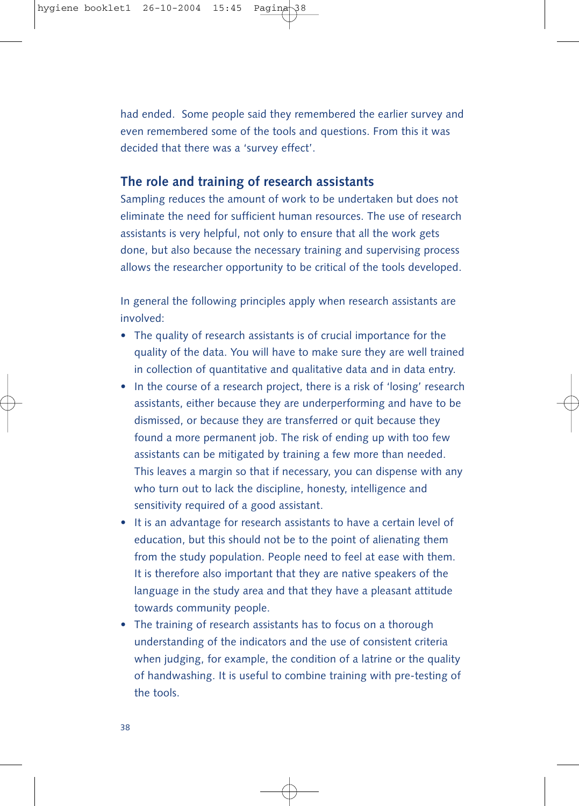had ended. Some people said they remembered the earlier survey and even remembered some of the tools and questions. From this it was decided that there was a 'survey effect'.

## **The role and training of research assistants**

Sampling reduces the amount of work to be undertaken but does not eliminate the need for sufficient human resources. The use of research assistants is very helpful, not only to ensure that all the work gets done, but also because the necessary training and supervising process allows the researcher opportunity to be critical of the tools developed.

In general the following principles apply when research assistants are involved:

- The quality of research assistants is of crucial importance for the quality of the data. You will have to make sure they are well trained in collection of quantitative and qualitative data and in data entry.
- In the course of a research project, there is a risk of 'losing' research assistants, either because they are underperforming and have to be dismissed, or because they are transferred or quit because they found a more permanent job. The risk of ending up with too few assistants can be mitigated by training a few more than needed. This leaves a margin so that if necessary, you can dispense with any who turn out to lack the discipline, honesty, intelligence and sensitivity required of a good assistant.
- It is an advantage for research assistants to have a certain level of education, but this should not be to the point of alienating them from the study population. People need to feel at ease with them. It is therefore also important that they are native speakers of the language in the study area and that they have a pleasant attitude towards community people.
- The training of research assistants has to focus on a thorough understanding of the indicators and the use of consistent criteria when judging, for example, the condition of a latrine or the quality of handwashing. It is useful to combine training with pre-testing of the tools.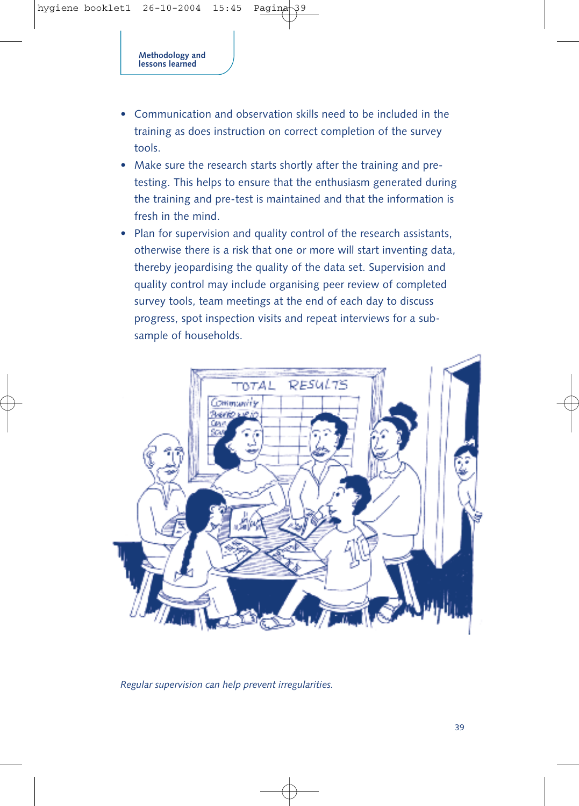**Methodology and lessons learned**

- Communication and observation skills need to be included in the training as does instruction on correct completion of the survey tools.
- Make sure the research starts shortly after the training and pretesting. This helps to ensure that the enthusiasm generated during the training and pre-test is maintained and that the information is fresh in the mind.
- Plan for supervision and quality control of the research assistants, otherwise there is a risk that one or more will start inventing data, thereby jeopardising the quality of the data set. Supervision and quality control may include organising peer review of completed survey tools, team meetings at the end of each day to discuss progress, spot inspection visits and repeat interviews for a subsample of households.



*Regular supervision can help prevent irregularities.*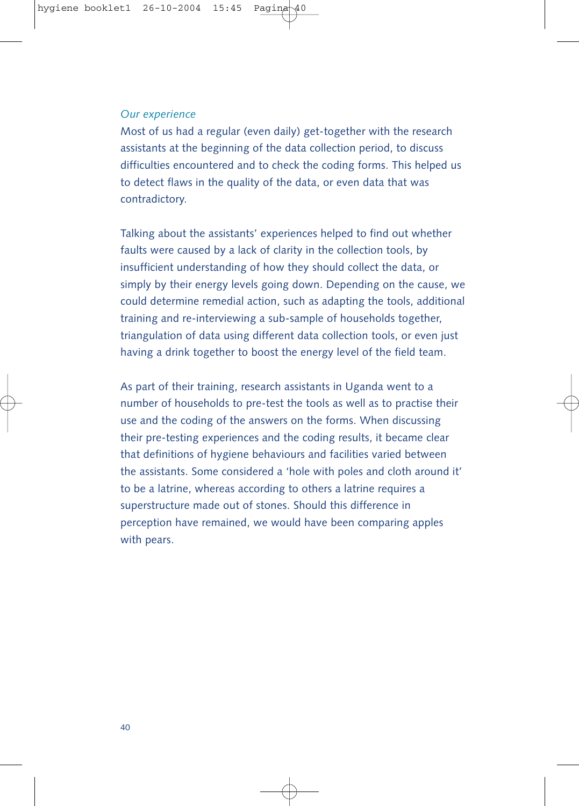#### *Our experience*

Most of us had a regular (even daily) get-together with the research assistants at the beginning of the data collection period, to discuss difficulties encountered and to check the coding forms. This helped us to detect flaws in the quality of the data, or even data that was contradictory.

Talking about the assistants' experiences helped to find out whether faults were caused by a lack of clarity in the collection tools, by insufficient understanding of how they should collect the data, or simply by their energy levels going down. Depending on the cause, we could determine remedial action, such as adapting the tools, additional training and re-interviewing a sub-sample of households together, triangulation of data using different data collection tools, or even just having a drink together to boost the energy level of the field team.

As part of their training, research assistants in Uganda went to a number of households to pre-test the tools as well as to practise their use and the coding of the answers on the forms. When discussing their pre-testing experiences and the coding results, it became clear that definitions of hygiene behaviours and facilities varied between the assistants. Some considered a 'hole with poles and cloth around it' to be a latrine, whereas according to others a latrine requires a superstructure made out of stones. Should this difference in perception have remained, we would have been comparing apples with pears.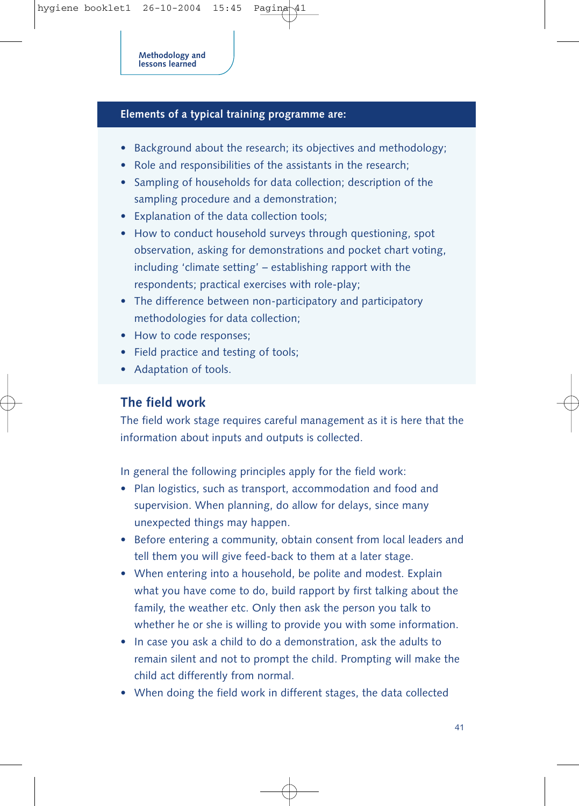**Methodology and lessons learned**

#### **Elements of a typical training programme are:**

- Background about the research; its objectives and methodology;
- Role and responsibilities of the assistants in the research;
- Sampling of households for data collection; description of the sampling procedure and a demonstration;
- Explanation of the data collection tools;
- How to conduct household surveys through questioning, spot observation, asking for demonstrations and pocket chart voting, including 'climate setting' – establishing rapport with the respondents; practical exercises with role-play;
- The difference between non-participatory and participatory methodologies for data collection;
- How to code responses;
- Field practice and testing of tools;
- Adaptation of tools.

## **The field work**

The field work stage requires careful management as it is here that the information about inputs and outputs is collected.

In general the following principles apply for the field work:

- Plan logistics, such as transport, accommodation and food and supervision. When planning, do allow for delays, since many unexpected things may happen.
- Before entering a community, obtain consent from local leaders and tell them you will give feed-back to them at a later stage.
- When entering into a household, be polite and modest. Explain what you have come to do, build rapport by first talking about the family, the weather etc. Only then ask the person you talk to whether he or she is willing to provide you with some information.
- In case you ask a child to do a demonstration, ask the adults to remain silent and not to prompt the child. Prompting will make the child act differently from normal.
- When doing the field work in different stages, the data collected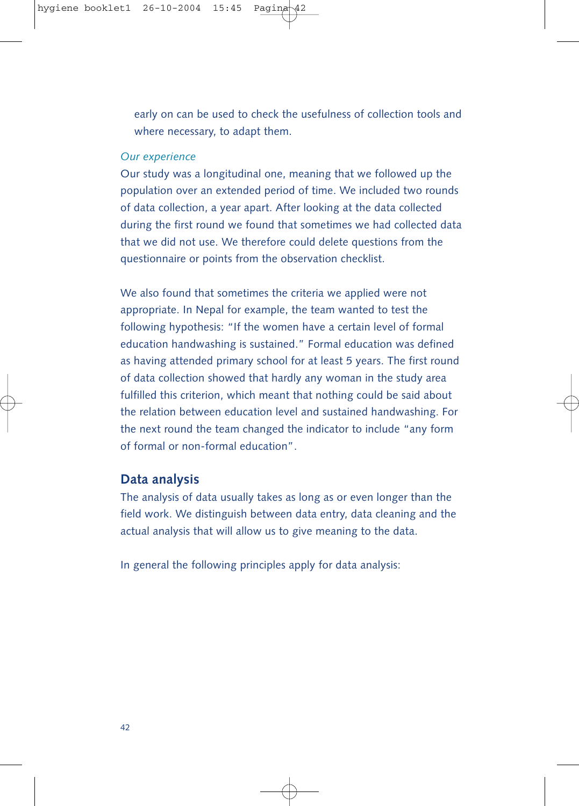early on can be used to check the usefulness of collection tools and where necessary, to adapt them.

#### *Our experience*

Our study was a longitudinal one, meaning that we followed up the population over an extended period of time. We included two rounds of data collection, a year apart. After looking at the data collected during the first round we found that sometimes we had collected data that we did not use. We therefore could delete questions from the questionnaire or points from the observation checklist.

We also found that sometimes the criteria we applied were not appropriate. In Nepal for example, the team wanted to test the following hypothesis: "If the women have a certain level of formal education handwashing is sustained." Formal education was defined as having attended primary school for at least 5 years. The first round of data collection showed that hardly any woman in the study area fulfilled this criterion, which meant that nothing could be said about the relation between education level and sustained handwashing. For the next round the team changed the indicator to include "any form of formal or non-formal education".

## **Data analysis**

The analysis of data usually takes as long as or even longer than the field work. We distinguish between data entry, data cleaning and the actual analysis that will allow us to give meaning to the data.

In general the following principles apply for data analysis: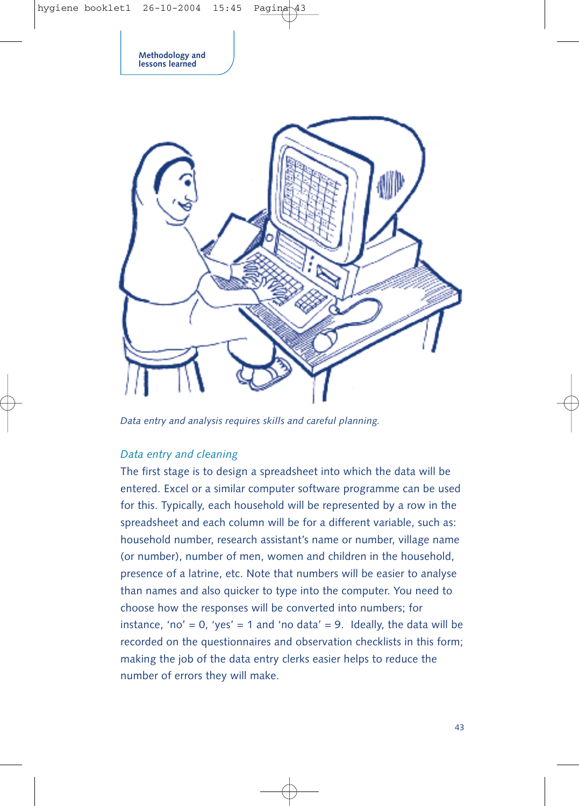



*Data entry and analysis requires skills and careful planning.*

#### *Data entry and cleaning*

The first stage is to design a spreadsheet into which the data will be entered. Excel or a similar computer software programme can be used for this. Typically, each household will be represented by a row in the spreadsheet and each column will be for a different variable, such as: household number, research assistant's name or number, village name (or number), number of men, women and children in the household, presence of a latrine, etc. Note that numbers will be easier to analyse than names and also quicker to type into the computer. You need to choose how the responses will be converted into numbers; for instance, 'no' = 0, 'yes' = 1 and 'no data' = 9. Ideally, the data will be recorded on the questionnaires and observation checklists in this form; making the job of the data entry clerks easier helps to reduce the number of errors they will make.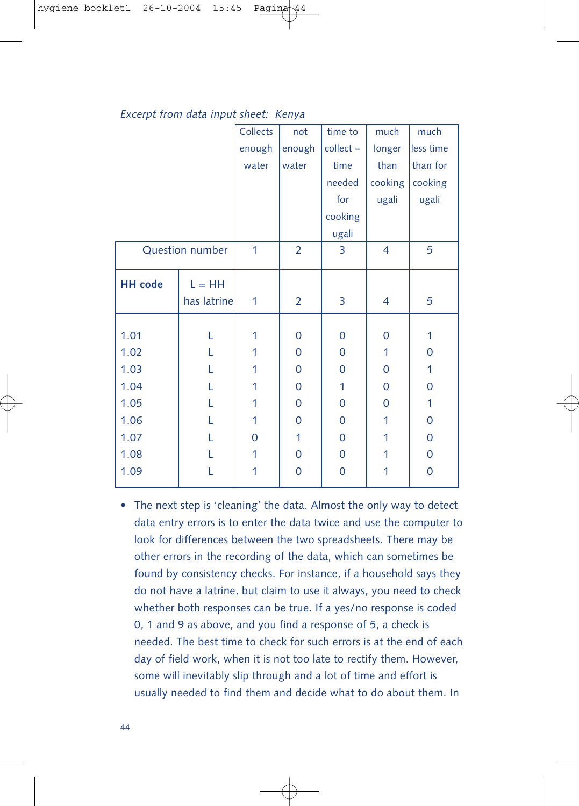|                |                 | Collects       | not            | time to     | much           | much           |
|----------------|-----------------|----------------|----------------|-------------|----------------|----------------|
|                |                 | enough         | enough         | $collect =$ | longer         | less time      |
|                |                 | water          | water          | time        | than           | than for       |
|                |                 |                |                | needed      | cooking        | cooking        |
|                |                 |                |                | for         | ugali          | ugali          |
|                |                 |                |                | cooking     |                |                |
|                |                 |                |                | ugali       |                |                |
|                | Question number | 1              | $\overline{2}$ | 3           | $\overline{4}$ | 5              |
| <b>HH</b> code | $L = HH$        |                |                |             |                |                |
|                | has latrine     | 1              | $\overline{2}$ | 3           | 4              | 5              |
|                |                 |                |                |             |                |                |
| 1.01           | L               | 1              | $\Omega$       | $\Omega$    | $\Omega$       | 1              |
| 1.02           | L               | 1              | $\mathbf 0$    | $\mathbf 0$ | $\mathbf 1$    | $\overline{0}$ |
| 1.03           | L               | 1              | $\mathbf 0$    | $\mathbf 0$ | 0              | 1              |
| 1.04           | L               | 1              | $\mathbf 0$    | 1           | 0              | 0              |
| 1.05           | L               | 1              | $\mathbf 0$    | $\mathbf 0$ | $\overline{0}$ | 1              |
| 1.06           | L               | 1              | $\mathbf 0$    | $\mathbf 0$ | 1              | $\overline{0}$ |
| 1.07           | L               | $\overline{0}$ | 1              | $\mathbf 0$ | 1              | $\overline{0}$ |
| 1.08           | L               | 1              | $\mathbf 0$    | 0           | 1              | 0              |
| 1.09           | L               | 1              | 0              | $\mathbf 0$ | 1              | 0              |

*Excerpt from data input sheet: Kenya*

• The next step is 'cleaning' the data. Almost the only way to detect data entry errors is to enter the data twice and use the computer to look for differences between the two spreadsheets. There may be other errors in the recording of the data, which can sometimes be found by consistency checks. For instance, if a household says they do not have a latrine, but claim to use it always, you need to check whether both responses can be true. If a yes/no response is coded 0, 1 and 9 as above, and you find a response of 5, a check is needed. The best time to check for such errors is at the end of each day of field work, when it is not too late to rectify them. However, some will inevitably slip through and a lot of time and effort is usually needed to find them and decide what to do about them. In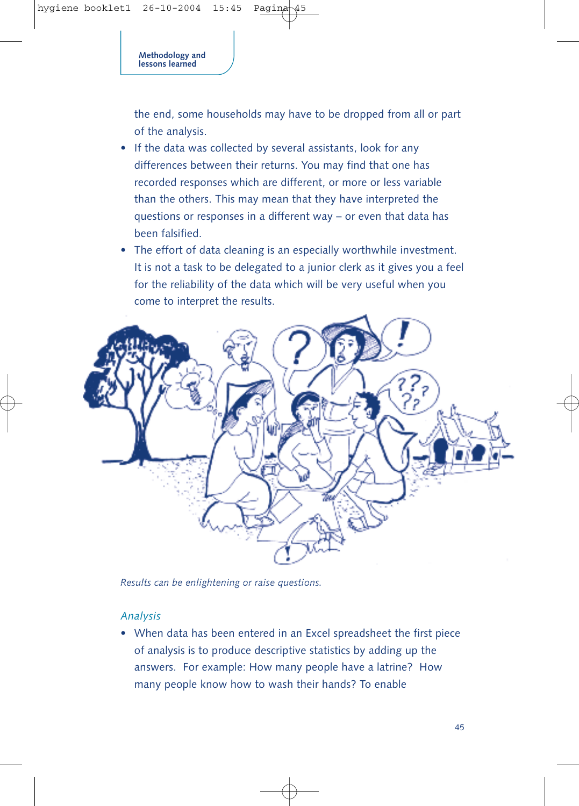**Methodology and lessons learned**

the end, some households may have to be dropped from all or part of the analysis.

- If the data was collected by several assistants, look for any differences between their returns. You may find that one has recorded responses which are different, or more or less variable than the others. This may mean that they have interpreted the questions or responses in a different way – or even that data has been falsified.
- The effort of data cleaning is an especially worthwhile investment. It is not a task to be delegated to a junior clerk as it gives you a feel for the reliability of the data which will be very useful when you come to interpret the results.



*Results can be enlightening or raise questions.*

#### *Analysis*

• When data has been entered in an Excel spreadsheet the first piece of analysis is to produce descriptive statistics by adding up the answers. For example: How many people have a latrine? How many people know how to wash their hands? To enable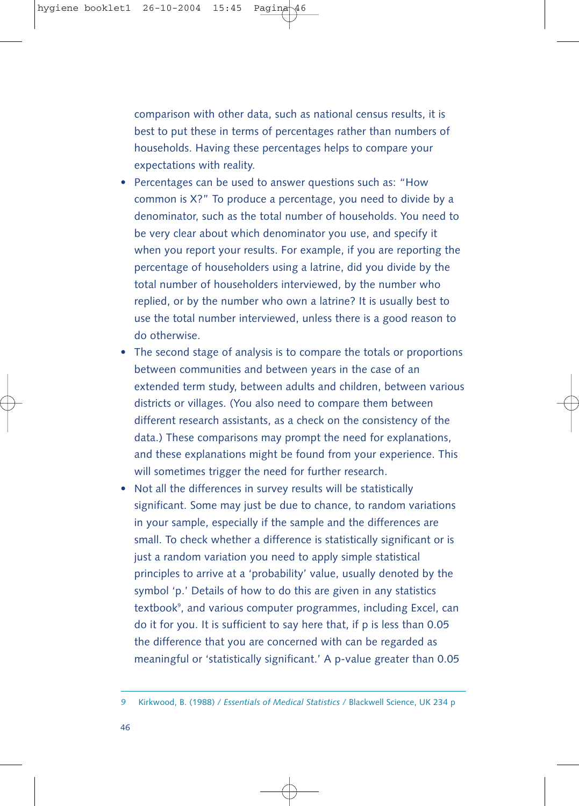comparison with other data, such as national census results, it is best to put these in terms of percentages rather than numbers of households. Having these percentages helps to compare your expectations with reality.

- Percentages can be used to answer questions such as: "How common is X?" To produce a percentage, you need to divide by a denominator, such as the total number of households. You need to be very clear about which denominator you use, and specify it when you report your results. For example, if you are reporting the percentage of householders using a latrine, did you divide by the total number of householders interviewed, by the number who replied, or by the number who own a latrine? It is usually best to use the total number interviewed, unless there is a good reason to do otherwise.
- The second stage of analysis is to compare the totals or proportions between communities and between years in the case of an extended term study, between adults and children, between various districts or villages. (You also need to compare them between different research assistants, as a check on the consistency of the data.) These comparisons may prompt the need for explanations, and these explanations might be found from your experience. This will sometimes trigger the need for further research.
- Not all the differences in survey results will be statistically significant. Some may just be due to chance, to random variations in your sample, especially if the sample and the differences are small. To check whether a difference is statistically significant or is just a random variation you need to apply simple statistical principles to arrive at a 'probability' value, usually denoted by the symbol 'p.' Details of how to do this are given in any statistics textbook9 , and various computer programmes, including Excel, can do it for you. It is sufficient to say here that, if p is less than 0.05 the difference that you are concerned with can be regarded as meaningful or 'statistically significant.' A p-value greater than 0.05

*<sup>9</sup>* Kirkwood, B. (1988) */ Essentials of Medical Statistics /* Blackwell Science, UK 234 p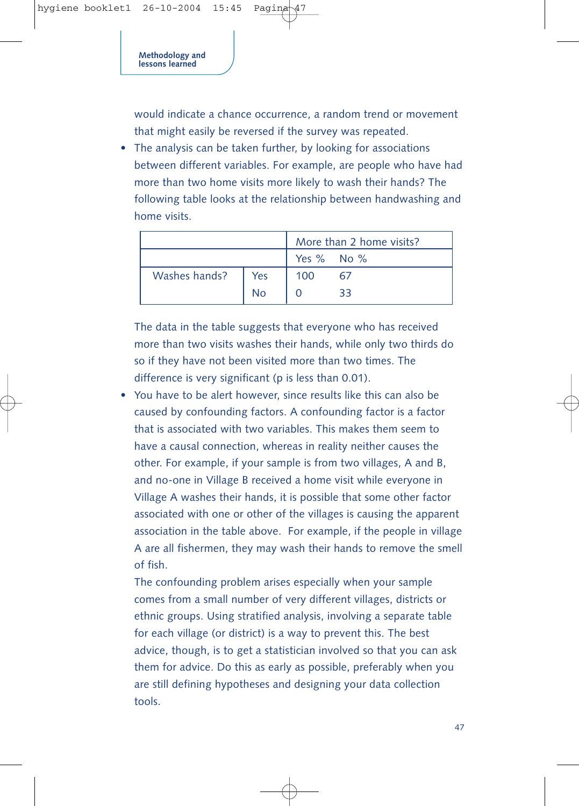**Methodology and lessons learned**

would indicate a chance occurrence, a random trend or movement that might easily be reversed if the survey was repeated.

• The analysis can be taken further, by looking for associations between different variables. For example, are people who have had more than two home visits more likely to wash their hands? The following table looks at the relationship between handwashing and home visits.

|               |     |            | More than 2 home visits? |
|---------------|-----|------------|--------------------------|
|               |     | Yes % No % |                          |
| Washes hands? | Yes | 100        |                          |
|               | N٥  |            | 33                       |

The data in the table suggests that everyone who has received more than two visits washes their hands, while only two thirds do so if they have not been visited more than two times. The difference is very significant (p is less than 0.01).

• You have to be alert however, since results like this can also be caused by confounding factors. A confounding factor is a factor that is associated with two variables. This makes them seem to have a causal connection, whereas in reality neither causes the other. For example, if your sample is from two villages, A and B, and no-one in Village B received a home visit while everyone in Village A washes their hands, it is possible that some other factor associated with one or other of the villages is causing the apparent association in the table above. For example, if the people in village A are all fishermen, they may wash their hands to remove the smell of fish.

The confounding problem arises especially when your sample comes from a small number of very different villages, districts or ethnic groups. Using stratified analysis, involving a separate table for each village (or district) is a way to prevent this. The best advice, though, is to get a statistician involved so that you can ask them for advice. Do this as early as possible, preferably when you are still defining hypotheses and designing your data collection tools.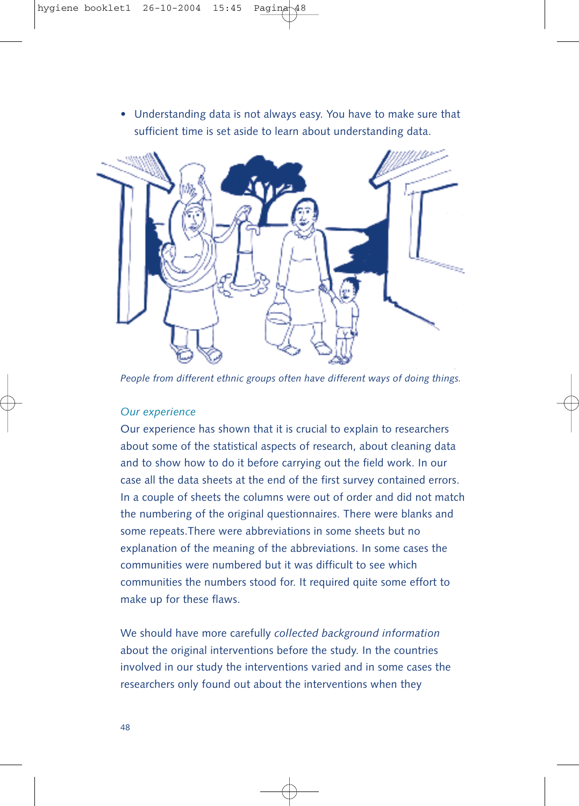• Understanding data is not always easy. You have to make sure that sufficient time is set aside to learn about understanding data.



*People from different ethnic groups often have different ways of doing things.*

#### *Our experience*

Our experience has shown that it is crucial to explain to researchers about some of the statistical aspects of research, about cleaning data and to show how to do it before carrying out the field work. In our case all the data sheets at the end of the first survey contained errors. In a couple of sheets the columns were out of order and did not match the numbering of the original questionnaires. There were blanks and some repeats.There were abbreviations in some sheets but no explanation of the meaning of the abbreviations. In some cases the communities were numbered but it was difficult to see which communities the numbers stood for. It required quite some effort to make up for these flaws.

We should have more carefully *collected background information* about the original interventions before the study. In the countries involved in our study the interventions varied and in some cases the researchers only found out about the interventions when they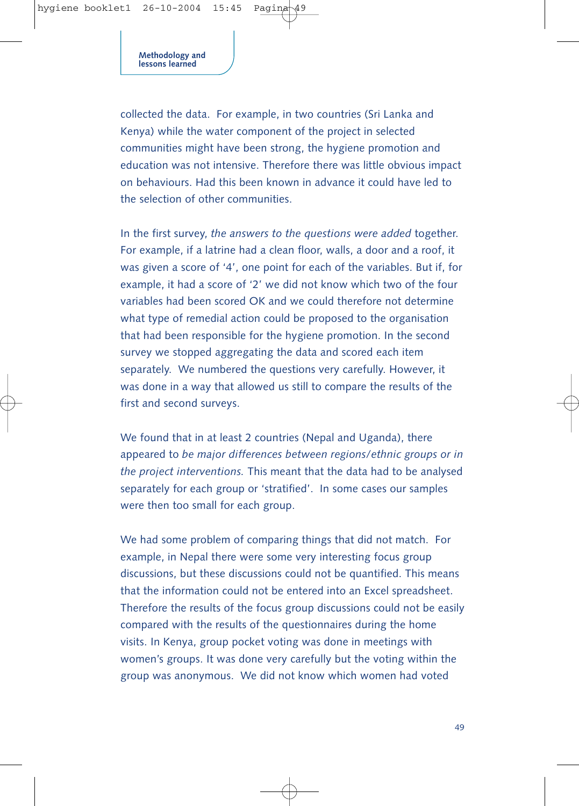**Methodology and lessons learned**

collected the data. For example, in two countries (Sri Lanka and Kenya) while the water component of the project in selected communities might have been strong, the hygiene promotion and education was not intensive. Therefore there was little obvious impact on behaviours. Had this been known in advance it could have led to the selection of other communities.

In the first survey, *the answers to the questions were added* together. For example, if a latrine had a clean floor, walls, a door and a roof, it was given a score of '4', one point for each of the variables. But if, for example, it had a score of '2' we did not know which two of the four variables had been scored OK and we could therefore not determine what type of remedial action could be proposed to the organisation that had been responsible for the hygiene promotion. In the second survey we stopped aggregating the data and scored each item separately. We numbered the questions very carefully. However, it was done in a way that allowed us still to compare the results of the first and second surveys.

We found that in at least 2 countries (Nepal and Uganda), there appeared to *be major differences between regions/ethnic groups or in the project interventions.* This meant that the data had to be analysed separately for each group or 'stratified'. In some cases our samples were then too small for each group.

We had some problem of comparing things that did not match. For example, in Nepal there were some very interesting focus group discussions, but these discussions could not be quantified. This means that the information could not be entered into an Excel spreadsheet. Therefore the results of the focus group discussions could not be easily compared with the results of the questionnaires during the home visits. In Kenya, group pocket voting was done in meetings with women's groups. It was done very carefully but the voting within the group was anonymous. We did not know which women had voted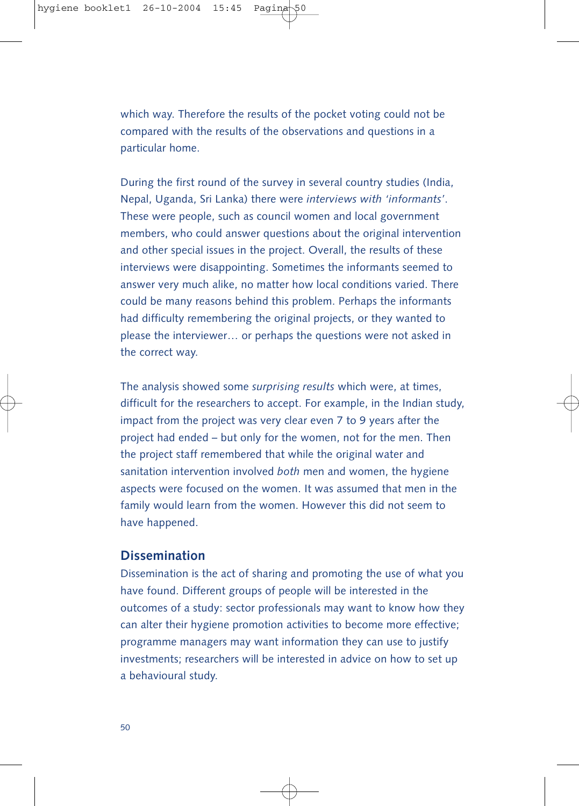which way. Therefore the results of the pocket voting could not be compared with the results of the observations and questions in a particular home.

During the first round of the survey in several country studies (India, Nepal, Uganda, Sri Lanka) there were *interviews with 'informants'*. These were people, such as council women and local government members, who could answer questions about the original intervention and other special issues in the project. Overall, the results of these interviews were disappointing. Sometimes the informants seemed to answer very much alike, no matter how local conditions varied. There could be many reasons behind this problem. Perhaps the informants had difficulty remembering the original projects, or they wanted to please the interviewer… or perhaps the questions were not asked in the correct way.

The analysis showed some *surprising results* which were, at times, difficult for the researchers to accept. For example, in the Indian study, impact from the project was very clear even 7 to 9 years after the project had ended – but only for the women, not for the men. Then the project staff remembered that while the original water and sanitation intervention involved *both* men and women, the hygiene aspects were focused on the women. It was assumed that men in the family would learn from the women. However this did not seem to have happened.

### **Dissemination**

Dissemination is the act of sharing and promoting the use of what you have found. Different groups of people will be interested in the outcomes of a study: sector professionals may want to know how they can alter their hygiene promotion activities to become more effective; programme managers may want information they can use to justify investments; researchers will be interested in advice on how to set up a behavioural study.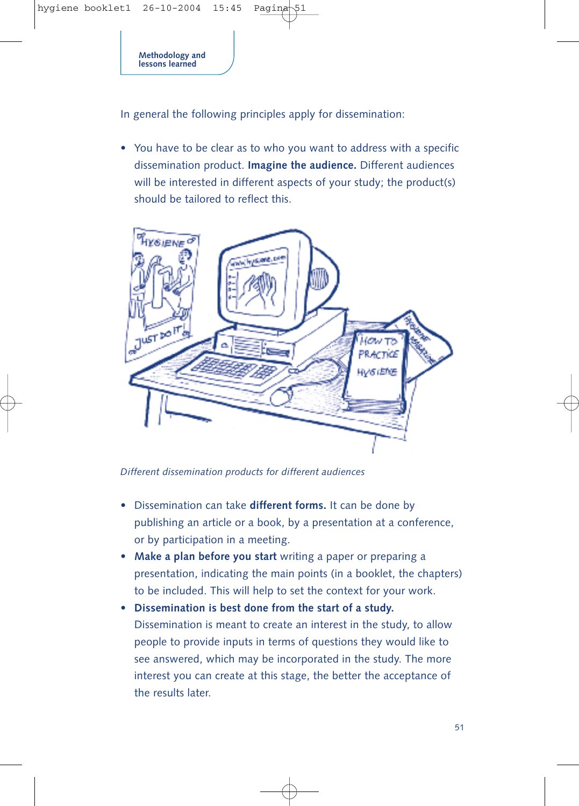

**Methodology and lessons learned**

In general the following principles apply for dissemination:

• You have to be clear as to who you want to address with a specific dissemination product. **Imagine the audience.** Different audiences will be interested in different aspects of your study; the product(s) should be tailored to reflect this.



*Different dissemination products for different audiences*

- Dissemination can take **different forms.** It can be done by publishing an article or a book, by a presentation at a conference, or by participation in a meeting.
- **Make a plan before you start** writing a paper or preparing a presentation, indicating the main points (in a booklet, the chapters) to be included. This will help to set the context for your work.
- **Dissemination is best done from the start of a study.** Dissemination is meant to create an interest in the study, to allow people to provide inputs in terms of questions they would like to see answered, which may be incorporated in the study. The more interest you can create at this stage, the better the acceptance of the results later.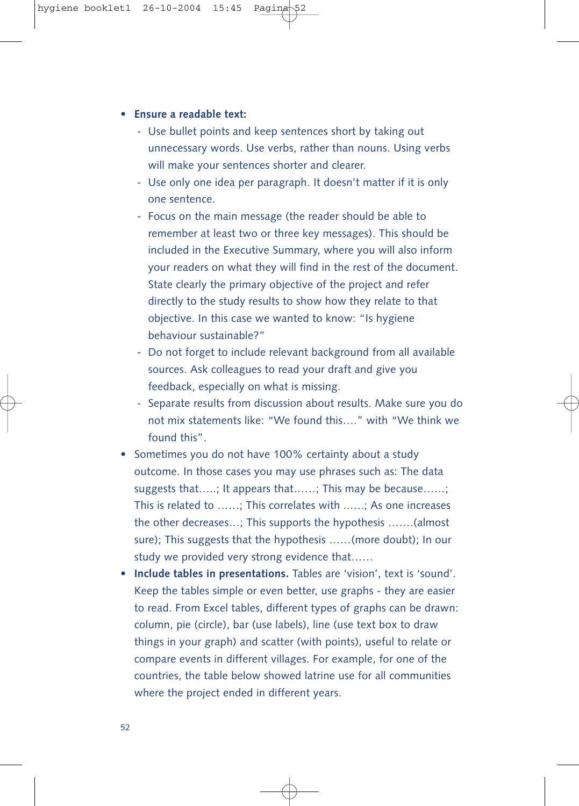#### • **Ensure a readable text:**

- Use bullet points and keep sentences short by taking out unnecessary words. Use verbs, rather than nouns. Using verbs will make your sentences shorter and clearer.
- Use only one idea per paragraph. It doesn't matter if it is only one sentence.
- Focus on the main message (the reader should be able to remember at least two or three key messages). This should be included in the Executive Summary, where you will also inform your readers on what they will find in the rest of the document. State clearly the primary objective of the project and refer directly to the study results to show how they relate to that objective. In this case we wanted to know: "Is hygiene behaviour sustainable?"
- Do not forget to include relevant background from all available sources. Ask colleagues to read your draft and give you feedback, especially on what is missing.
- Separate results from discussion about results. Make sure you do not mix statements like: "We found this…." with "We think we found this".
- Sometimes you do not have 100% certainty about a study outcome. In those cases you may use phrases such as: The data suggests that…..; It appears that……; This may be because……; This is related to ……; This correlates with ..….; As one increases the other decreases…; This supports the hypothesis …….(almost sure); This suggests that the hypothesis ……(more doubt); In our study we provided very strong evidence that……
- **Include tables in presentations.** Tables are 'vision', text is 'sound'. Keep the tables simple or even better, use graphs - they are easier to read. From Excel tables, different types of graphs can be drawn: column, pie (circle), bar (use labels), line (use text box to draw things in your graph) and scatter (with points), useful to relate or compare events in different villages. For example, for one of the countries, the table below showed latrine use for all communities where the project ended in different years.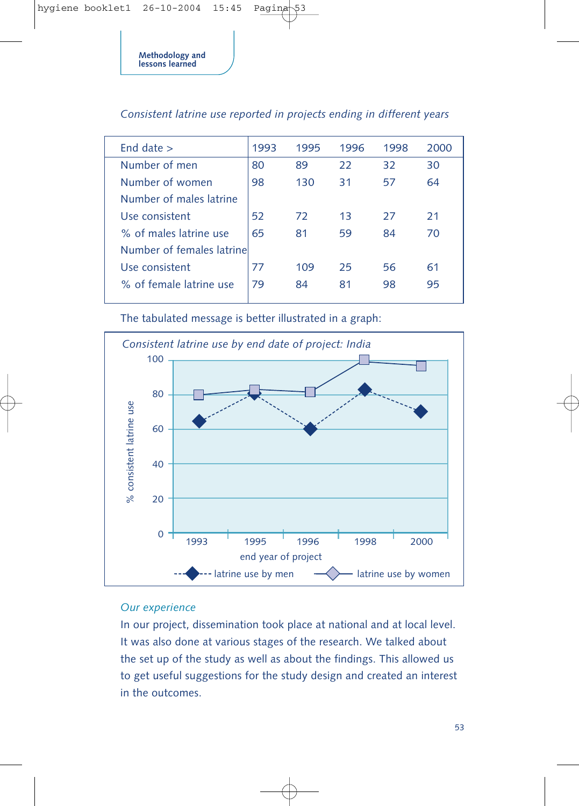

### *Consistent latrine use reported in projects ending in different years*

| End date $>$               | 1993 | 1995 | 1996           | 1998 | 2000 |
|----------------------------|------|------|----------------|------|------|
| Number of men              | 80   | 89   | 22             | 32   | 30   |
| Number of women            | 98   | 130  | 31             | 57   | 64   |
| Number of males latrine    |      |      |                |      |      |
| Use consistent             | 52   | 72   | 1 <sub>3</sub> | 27   | 21   |
| % of males latrine use     | 65   | 81   | 59             | 84   | 70   |
| Number of females latrinel |      |      |                |      |      |
| Use consistent             | 77   | 109  | 25             | 56   | 61   |
| % of female latrine use    | 79   | 84   | 81             | 98   | 95   |
|                            |      |      |                |      |      |

The tabulated message is better illustrated in a graph:



### *Our experience*

In our project, dissemination took place at national and at local level. It was also done at various stages of the research. We talked about the set up of the study as well as about the findings. This allowed us to get useful suggestions for the study design and created an interest in the outcomes.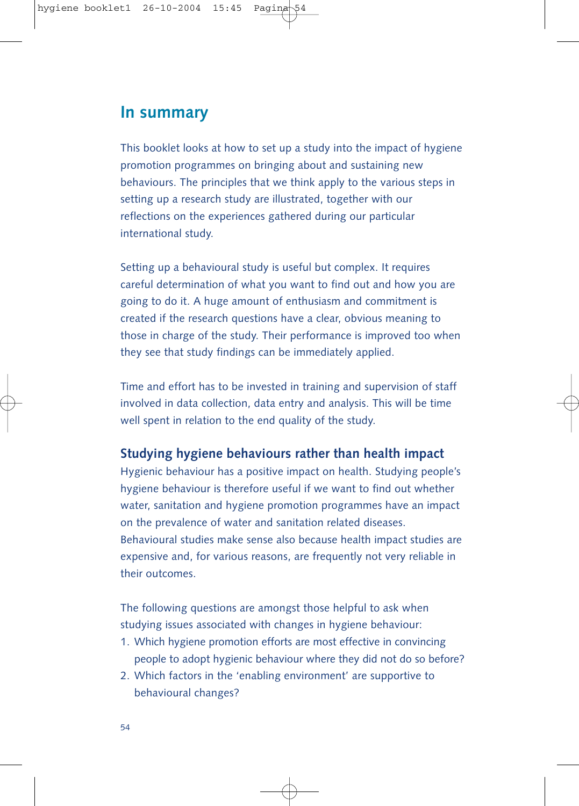hygiene booklet1 26-10-2004

## **In summary**

This booklet looks at how to set up a study into the impact of hygiene promotion programmes on bringing about and sustaining new behaviours. The principles that we think apply to the various steps in setting up a research study are illustrated, together with our reflections on the experiences gathered during our particular international study.

Setting up a behavioural study is useful but complex. It requires careful determination of what you want to find out and how you are going to do it. A huge amount of enthusiasm and commitment is created if the research questions have a clear, obvious meaning to those in charge of the study. Their performance is improved too when they see that study findings can be immediately applied.

Time and effort has to be invested in training and supervision of staff involved in data collection, data entry and analysis. This will be time well spent in relation to the end quality of the study.

## **Studying hygiene behaviours rather than health impact**

Hygienic behaviour has a positive impact on health. Studying people's hygiene behaviour is therefore useful if we want to find out whether water, sanitation and hygiene promotion programmes have an impact on the prevalence of water and sanitation related diseases. Behavioural studies make sense also because health impact studies are expensive and, for various reasons, are frequently not very reliable in their outcomes.

The following questions are amongst those helpful to ask when studying issues associated with changes in hygiene behaviour:

- 1. Which hygiene promotion efforts are most effective in convincing people to adopt hygienic behaviour where they did not do so before?
- 2. Which factors in the 'enabling environment' are supportive to behavioural changes?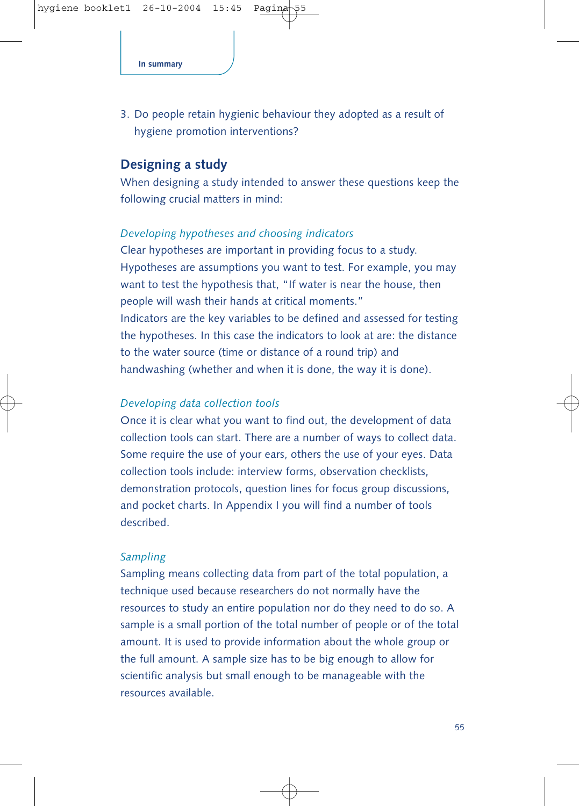**In summary**

3. Do people retain hygienic behaviour they adopted as a result of hygiene promotion interventions?

## **Designing a study**

When designing a study intended to answer these questions keep the following crucial matters in mind:

### *Developing hypotheses and choosing indicators*

Clear hypotheses are important in providing focus to a study. Hypotheses are assumptions you want to test. For example, you may want to test the hypothesis that, "If water is near the house, then people will wash their hands at critical moments." Indicators are the key variables to be defined and assessed for testing the hypotheses. In this case the indicators to look at are: the distance to the water source (time or distance of a round trip) and handwashing (whether and when it is done, the way it is done).

#### *Developing data collection tools*

Once it is clear what you want to find out, the development of data collection tools can start. There are a number of ways to collect data. Some require the use of your ears, others the use of your eyes. Data collection tools include: interview forms, observation checklists, demonstration protocols, question lines for focus group discussions, and pocket charts. In Appendix I you will find a number of tools described.

#### *Sampling*

Sampling means collecting data from part of the total population, a technique used because researchers do not normally have the resources to study an entire population nor do they need to do so. A sample is a small portion of the total number of people or of the total amount. It is used to provide information about the whole group or the full amount. A sample size has to be big enough to allow for scientific analysis but small enough to be manageable with the resources available.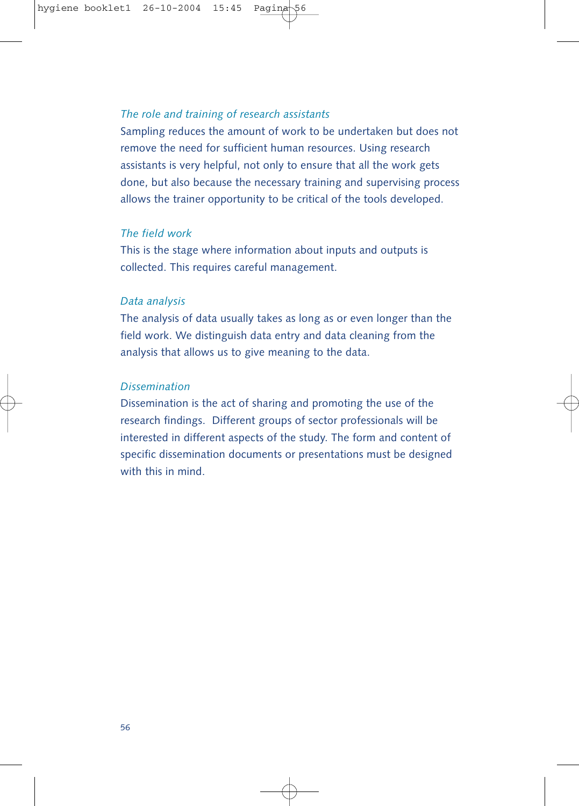#### *The role and training of research assistants*

Sampling reduces the amount of work to be undertaken but does not remove the need for sufficient human resources. Using research assistants is very helpful, not only to ensure that all the work gets done, but also because the necessary training and supervising process allows the trainer opportunity to be critical of the tools developed.

#### *The field work*

This is the stage where information about inputs and outputs is collected. This requires careful management.

#### *Data analysis*

The analysis of data usually takes as long as or even longer than the field work. We distinguish data entry and data cleaning from the analysis that allows us to give meaning to the data.

#### *Dissemination*

Dissemination is the act of sharing and promoting the use of the research findings. Different groups of sector professionals will be interested in different aspects of the study. The form and content of specific dissemination documents or presentations must be designed with this in mind.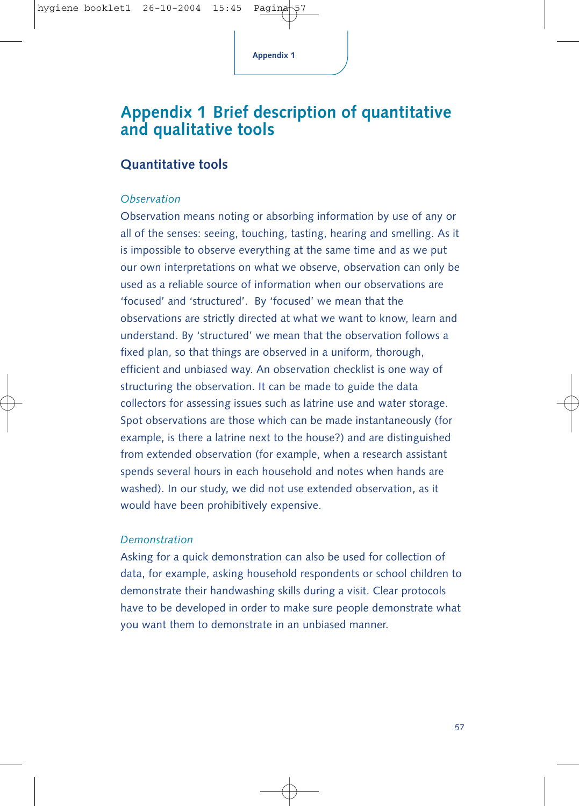**Appendix 1**

## **Appendix 1 Brief description of quantitative and qualitative tools**

## **Quantitative tools**

## *Observation*

Observation means noting or absorbing information by use of any or all of the senses: seeing, touching, tasting, hearing and smelling. As it is impossible to observe everything at the same time and as we put our own interpretations on what we observe, observation can only be used as a reliable source of information when our observations are 'focused' and 'structured'. By 'focused' we mean that the observations are strictly directed at what we want to know, learn and understand. By 'structured' we mean that the observation follows a fixed plan, so that things are observed in a uniform, thorough, efficient and unbiased way. An observation checklist is one way of structuring the observation. It can be made to guide the data collectors for assessing issues such as latrine use and water storage. Spot observations are those which can be made instantaneously (for example, is there a latrine next to the house?) and are distinguished from extended observation (for example, when a research assistant spends several hours in each household and notes when hands are washed). In our study, we did not use extended observation, as it would have been prohibitively expensive.

#### *Demonstration*

Asking for a quick demonstration can also be used for collection of data, for example, asking household respondents or school children to demonstrate their handwashing skills during a visit. Clear protocols have to be developed in order to make sure people demonstrate what you want them to demonstrate in an unbiased manner.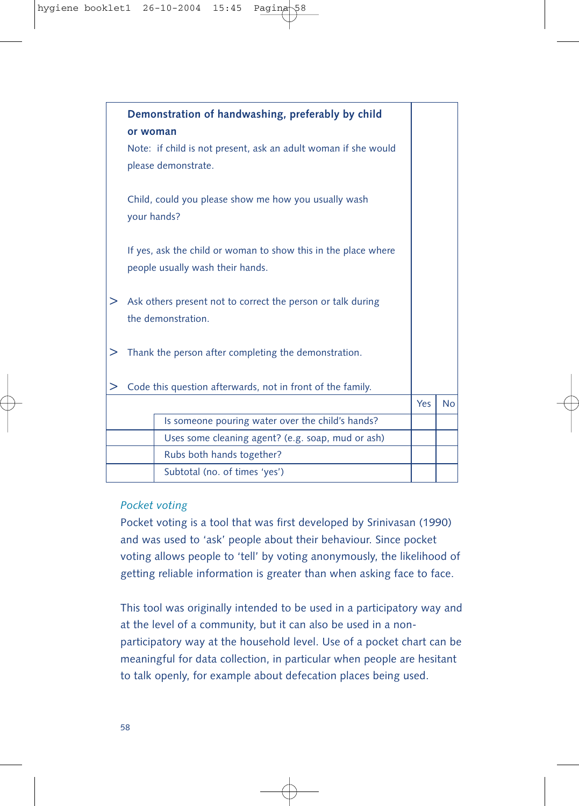|   | or woman                                                                          | Demonstration of handwashing, preferably by child                                                  |     |           |  |
|---|-----------------------------------------------------------------------------------|----------------------------------------------------------------------------------------------------|-----|-----------|--|
|   |                                                                                   | Note: if child is not present, ask an adult woman if she would<br>please demonstrate.              |     |           |  |
|   |                                                                                   | Child, could you please show me how you usually wash<br>your hands?                                |     |           |  |
|   |                                                                                   | If yes, ask the child or woman to show this in the place where<br>people usually wash their hands. |     |           |  |
| > | Ask others present not to correct the person or talk during<br>the demonstration. |                                                                                                    |     |           |  |
| ➢ | Thank the person after completing the demonstration.                              |                                                                                                    |     |           |  |
|   |                                                                                   | Code this question afterwards, not in front of the family.                                         |     |           |  |
|   |                                                                                   |                                                                                                    | Yes | <b>No</b> |  |
|   |                                                                                   | Is someone pouring water over the child's hands?                                                   |     |           |  |
|   |                                                                                   | Uses some cleaning agent? (e.g. soap, mud or ash)                                                  |     |           |  |
|   |                                                                                   | Rubs both hands together?                                                                          |     |           |  |
|   |                                                                                   | Subtotal (no. of times 'yes')                                                                      |     |           |  |
|   |                                                                                   |                                                                                                    |     |           |  |

### *Pocket voting*

Pocket voting is a tool that was first developed by Srinivasan (1990) and was used to 'ask' people about their behaviour. Since pocket voting allows people to 'tell' by voting anonymously, the likelihood of getting reliable information is greater than when asking face to face.

This tool was originally intended to be used in a participatory way and at the level of a community, but it can also be used in a nonparticipatory way at the household level. Use of a pocket chart can be meaningful for data collection, in particular when people are hesitant to talk openly, for example about defecation places being used.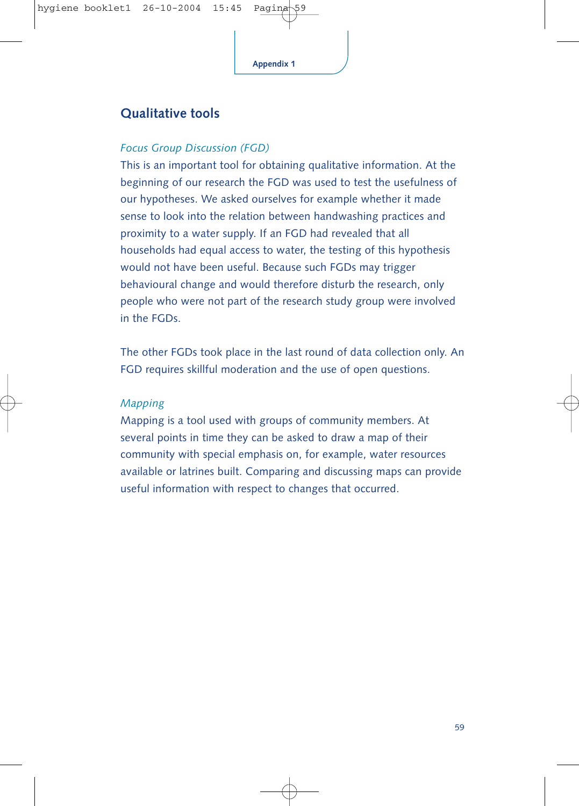

## **Qualitative tools**

#### *Focus Group Discussion (FGD)*

This is an important tool for obtaining qualitative information. At the beginning of our research the FGD was used to test the usefulness of our hypotheses. We asked ourselves for example whether it made sense to look into the relation between handwashing practices and proximity to a water supply. If an FGD had revealed that all households had equal access to water, the testing of this hypothesis would not have been useful. Because such FGDs may trigger behavioural change and would therefore disturb the research, only people who were not part of the research study group were involved in the FGDs.

The other FGDs took place in the last round of data collection only. An FGD requires skillful moderation and the use of open questions.

### *Mapping*

Mapping is a tool used with groups of community members. At several points in time they can be asked to draw a map of their community with special emphasis on, for example, water resources available or latrines built. Comparing and discussing maps can provide useful information with respect to changes that occurred.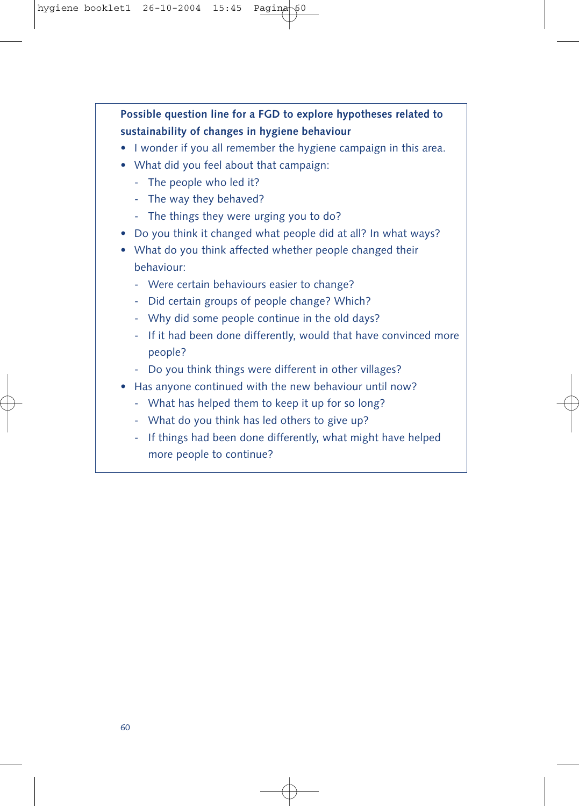## **Possible question line for a FGD to explore hypotheses related to sustainability of changes in hygiene behaviour**

- I wonder if you all remember the hygiene campaign in this area.
- What did you feel about that campaign:
	- The people who led it?
	- The way they behaved?
	- The things they were urging you to do?
- Do you think it changed what people did at all? In what ways?
- What do you think affected whether people changed their behaviour:
	- Were certain behaviours easier to change?
	- Did certain groups of people change? Which?
	- Why did some people continue in the old days?
	- If it had been done differently, would that have convinced more people?
	- Do you think things were different in other villages?
- Has anyone continued with the new behaviour until now?
	- What has helped them to keep it up for so long?
	- What do you think has led others to give up?
	- If things had been done differently, what might have helped more people to continue?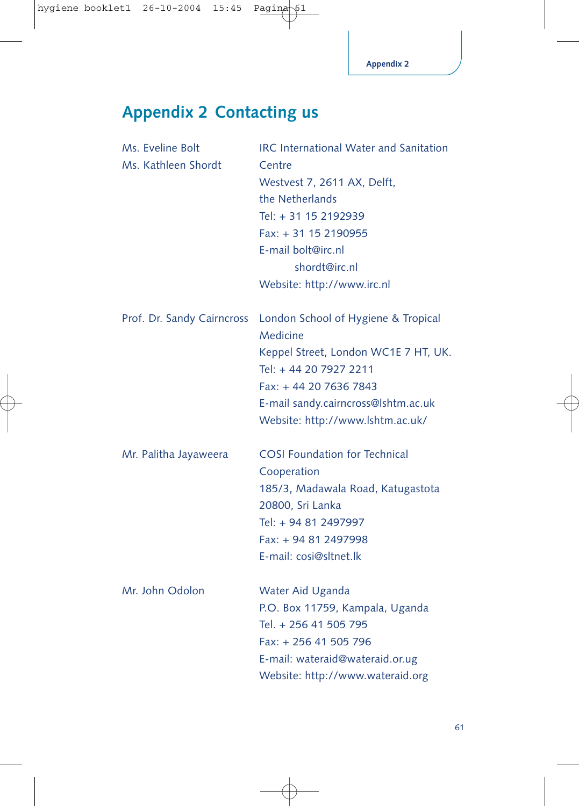hygiene booklet1 26-10-2004 15:45 Pagina  $61$ 

**Appendix 2**

# **Appendix 2 Contacting us**

| Ms. Eveline Bolt           | <b>IRC</b> International Water and Sanitation |
|----------------------------|-----------------------------------------------|
| Ms. Kathleen Shordt        | Centre                                        |
|                            | Westvest 7, 2611 AX, Delft,                   |
|                            | the Netherlands                               |
|                            | Tel: + 31 15 2192939                          |
|                            | Fax: +31 15 2190955                           |
|                            | E-mail bolt@irc.nl                            |
|                            | shordt@irc.nl                                 |
|                            | Website: http://www.irc.nl                    |
| Prof. Dr. Sandy Cairncross | London School of Hygiene & Tropical           |
|                            | Medicine                                      |
|                            | Keppel Street, London WC1E 7 HT, UK.          |
|                            | Tel: +44 20 7927 2211                         |
|                            | Fax: +44 20 7636 7843                         |
|                            | E-mail sandy.cairncross@lshtm.ac.uk           |
|                            | Website: http://www.lshtm.ac.uk/              |
| Mr. Palitha Jayaweera      | <b>COSI Foundation for Technical</b>          |
|                            | Cooperation                                   |
|                            | 185/3, Madawala Road, Katugastota             |
|                            | 20800, Sri Lanka                              |
|                            | Tel: + 94 81 2497997                          |
|                            | Fax: + 94 81 2497998                          |
|                            | E-mail: cosi@sltnet.lk                        |
| Mr. John Odolon            | Water Aid Uganda                              |
|                            | P.O. Box 11759, Kampala, Uganda               |
|                            | Tel. + 256 41 505 795                         |
|                            | Fax: + 256 41 505 796                         |
|                            | E-mail: wateraid@wateraid.or.ug               |
|                            | Website: http://www.wateraid.org              |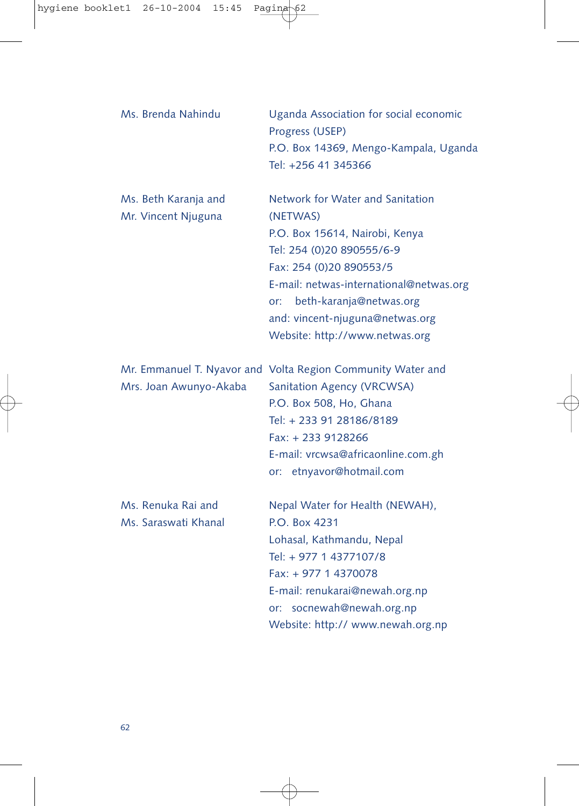| Ms. Brenda Nahindu                          | Uganda Association for social economic<br>Progress (USEP)<br>P.O. Box 14369, Mengo-Kampala, Uganda<br>Tel: +256 41 345366                                                                                                                                                                |
|---------------------------------------------|------------------------------------------------------------------------------------------------------------------------------------------------------------------------------------------------------------------------------------------------------------------------------------------|
| Ms. Beth Karanja and<br>Mr. Vincent Njuguna | Network for Water and Sanitation<br>(NETWAS)<br>P.O. Box 15614, Nairobi, Kenya<br>Tel: 254 (0)20 890555/6-9<br>Fax: 254 (0)20 890553/5<br>E-mail: netwas-international@netwas.org<br>beth-karanja@netwas.org<br>or:<br>and: vincent-njuguna@netwas.org<br>Website: http://www.netwas.org |
| Mrs. Joan Awunyo-Akaba                      | Mr. Emmanuel T. Nyavor and Volta Region Community Water and<br>Sanitation Agency (VRCWSA)<br>P.O. Box 508, Ho, Ghana<br>Tel: +233 91 28186/8189<br>Fax: +233 9128266<br>E-mail: vrcwsa@africaonline.com.gh<br>etnyavor@hotmail.com<br>or:                                                |
| Ms. Renuka Rai and<br>Ms. Saraswati Khanal  | Nepal Water for Health (NEWAH),<br>P.O. Box 4231<br>Lohasal, Kathmandu, Nepal<br>Tel: + 977 1 4377107/8<br>Fax: + 977 1 4370078<br>E-mail: renukarai@newah.org.np<br>socnewah@newah.org.np<br>or:<br>Website: http:// www.newah.org.np                                                   |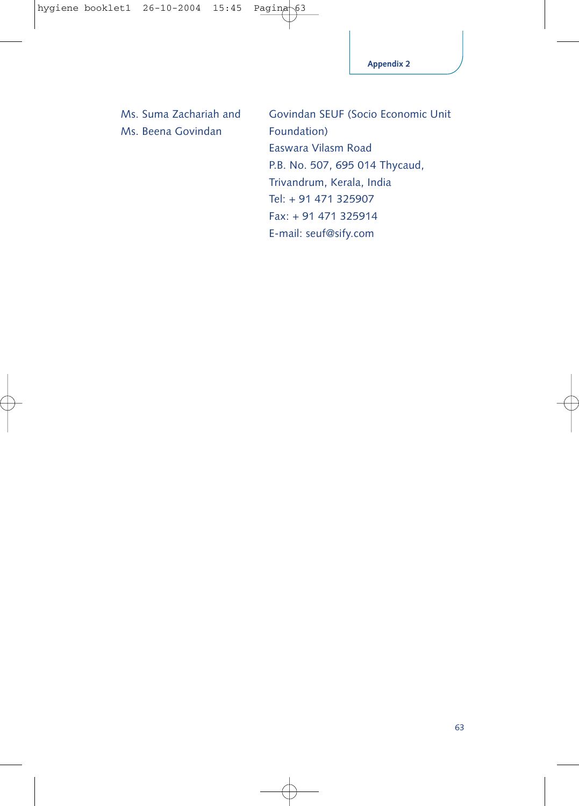hygiene booklet1  $26-10-2004$  15:45 Pagin

**Appendix 2**

Ms. Suma Zachariah and Ms. Beena Govindan

Govindan SEUF (Socio Economic Unit Foundation) Easwara Vilasm Road P.B. No. 507, 695 014 Thycaud, Trivandrum, Kerala, India Tel: + 91 471 325907 Fax: + 91 471 325914 E-mail: seuf@sify.com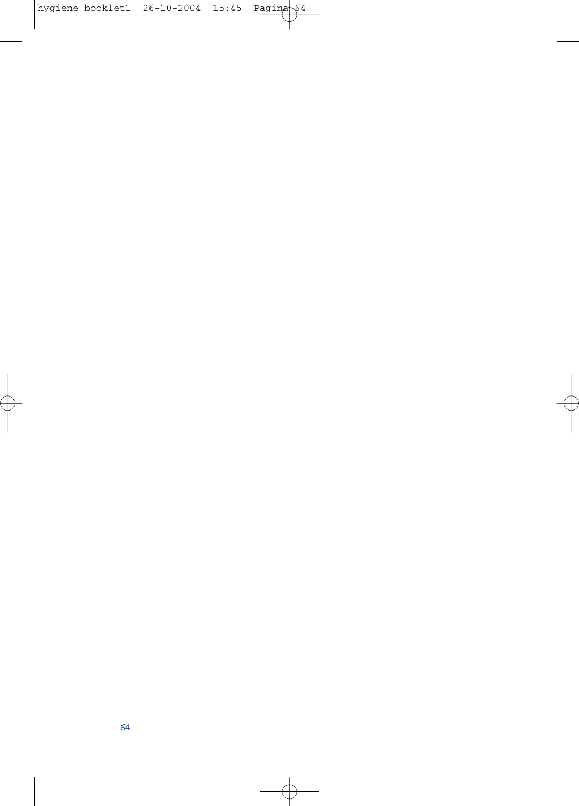hygiene booklet1 26-10-2004 15:45 Pagina 64

ŧ

 $\mathbb G$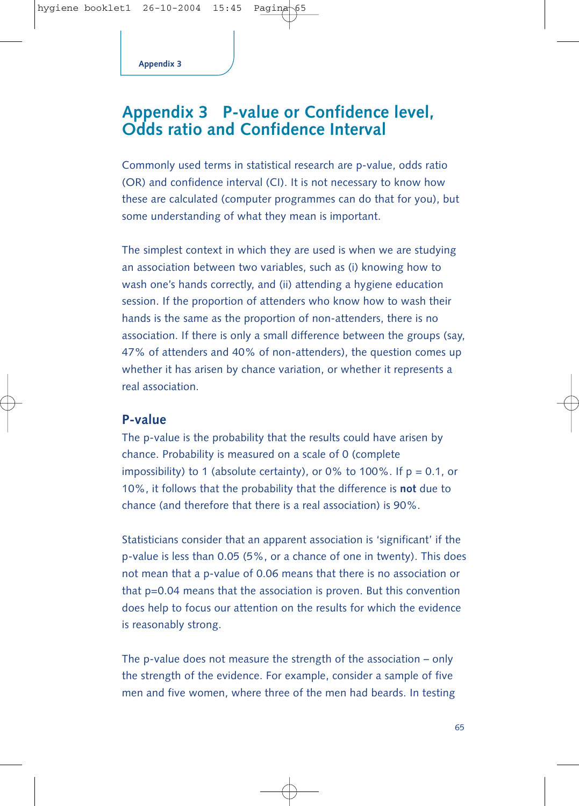**Appendix 3**

## **Appendix 3 P-value or Confidence level, Odds ratio and Confidence Interval**

Commonly used terms in statistical research are p-value, odds ratio (OR) and confidence interval (CI). It is not necessary to know how these are calculated (computer programmes can do that for you), but some understanding of what they mean is important.

The simplest context in which they are used is when we are studying an association between two variables, such as (i) knowing how to wash one's hands correctly, and (ii) attending a hygiene education session. If the proportion of attenders who know how to wash their hands is the same as the proportion of non-attenders, there is no association. If there is only a small difference between the groups (say, 47% of attenders and 40% of non-attenders), the question comes up whether it has arisen by chance variation, or whether it represents a real association.

### **P-value**

The p-value is the probability that the results could have arisen by chance. Probability is measured on a scale of 0 (complete impossibility) to 1 (absolute certainty), or 0% to 100%. If  $p = 0.1$ , or 10%, it follows that the probability that the difference is **not** due to chance (and therefore that there is a real association) is 90%.

Statisticians consider that an apparent association is 'significant' if the p-value is less than 0.05 (5%, or a chance of one in twenty). This does not mean that a p-value of 0.06 means that there is no association or that p=0.04 means that the association is proven. But this convention does help to focus our attention on the results for which the evidence is reasonably strong.

The p-value does not measure the strength of the association – only the strength of the evidence. For example, consider a sample of five men and five women, where three of the men had beards. In testing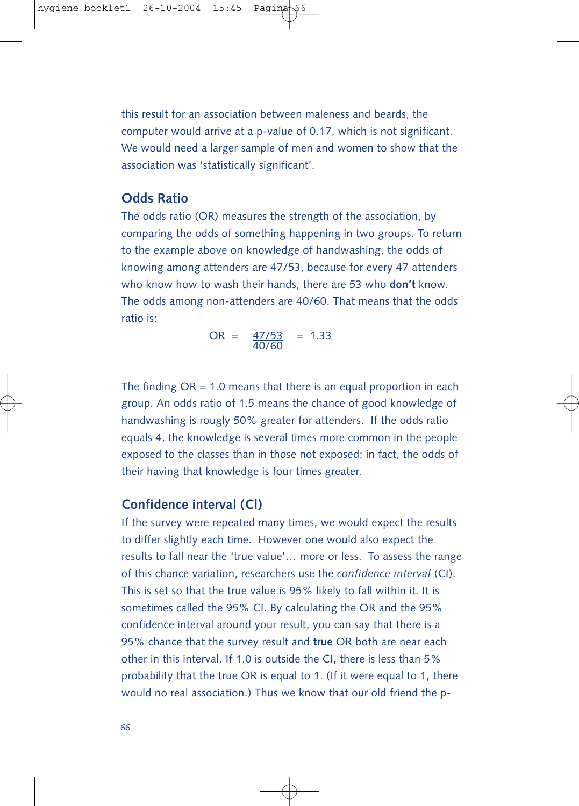this result for an association between maleness and beards, the computer would arrive at a p-value of 0.17, which is not significant. We would need a larger sample of men and women to show that the association was 'statistically significant'.

## **Odds Ratio**

The odds ratio (OR) measures the strength of the association, by comparing the odds of something happening in two groups. To return to the example above on knowledge of handwashing, the odds of knowing among attenders are 47/53, because for every 47 attenders who know how to wash their hands, there are 53 who **don't** know. The odds among non-attenders are 40/60. That means that the odds ratio is:

> OR =  $\frac{47/53}{ }$  = 1.33 40/60

The finding  $OR = 1.0$  means that there is an equal proportion in each group. An odds ratio of 1.5 means the chance of good knowledge of handwashing is rougly 50% greater for attenders. If the odds ratio equals 4, the knowledge is several times more common in the people exposed to the classes than in those not exposed; in fact, the odds of their having that knowledge is four times greater.

## **Confidence interval (Cl)**

If the survey were repeated many times, we would expect the results to differ slightly each time. However one would also expect the results to fall near the 'true value'… more or less. To assess the range of this chance variation, researchers use the *confidence interval* (CI). This is set so that the true value is 95% likely to fall within it. It is sometimes called the 95% CI. By calculating the OR and the 95% confidence interval around your result, you can say that there is a 95% chance that the survey result and **true** OR both are near each other in this interval. If 1.0 is outside the CI, there is less than 5% probability that the true OR is equal to 1. (If it were equal to 1, there would no real association.) Thus we know that our old friend the p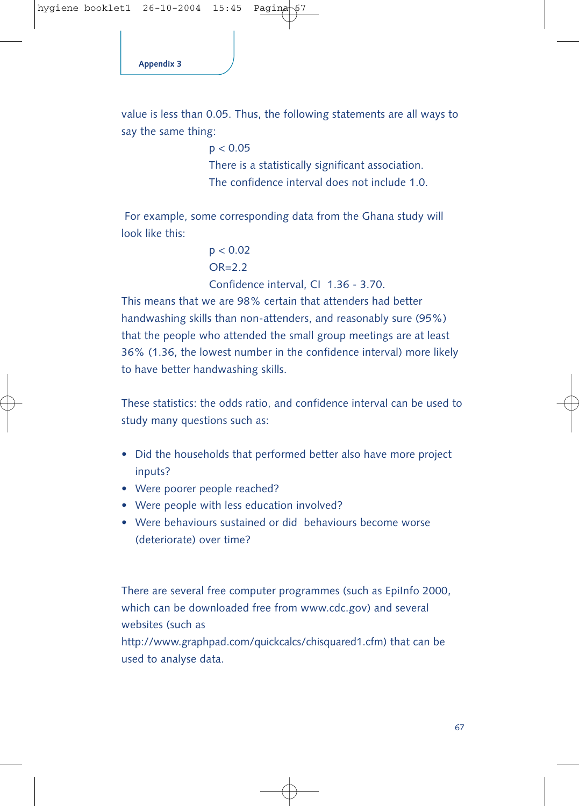**Appendix 3**

value is less than 0.05. Thus, the following statements are all ways to say the same thing:

> $p < 0.05$ There is a statistically significant association. The confidence interval does not include 1.0.

For example, some corresponding data from the Ghana study will look like this:

$$
p < 0.02
$$
\n
$$
OR = 2.2
$$

Confidence interval, CI 1.36 - 3.70.

This means that we are 98% certain that attenders had better handwashing skills than non-attenders, and reasonably sure (95%) that the people who attended the small group meetings are at least 36% (1.36, the lowest number in the confidence interval) more likely to have better handwashing skills.

These statistics: the odds ratio, and confidence interval can be used to study many questions such as:

- Did the households that performed better also have more project inputs?
- Were poorer people reached?
- Were people with less education involved?
- Were behaviours sustained or did behaviours become worse (deteriorate) over time?

There are several free computer programmes (such as EpiInfo 2000, which can be downloaded free from www.cdc.gov) and several websites (such as http://www.graphpad.com/quickcalcs/chisquared1.cfm) that can be used to analyse data.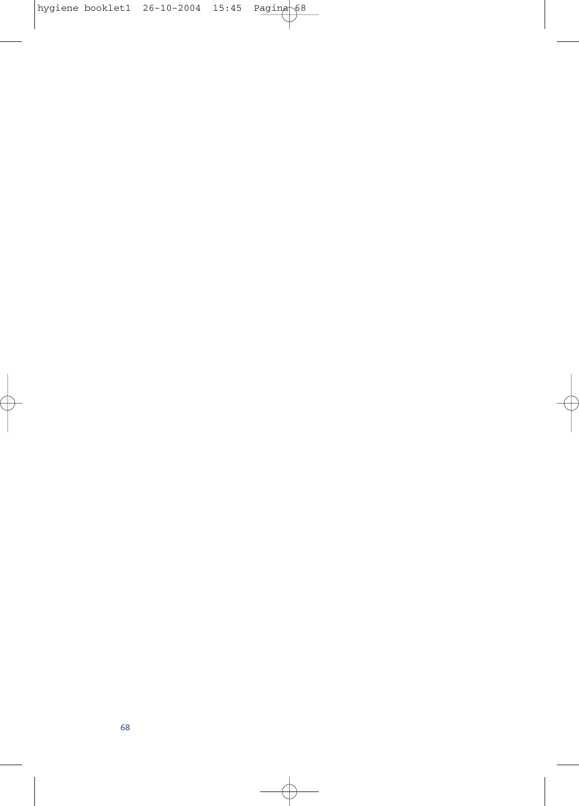hygiene booklet1 26-10-2004 15:45 Pagina 68

Æ

 $\oplus$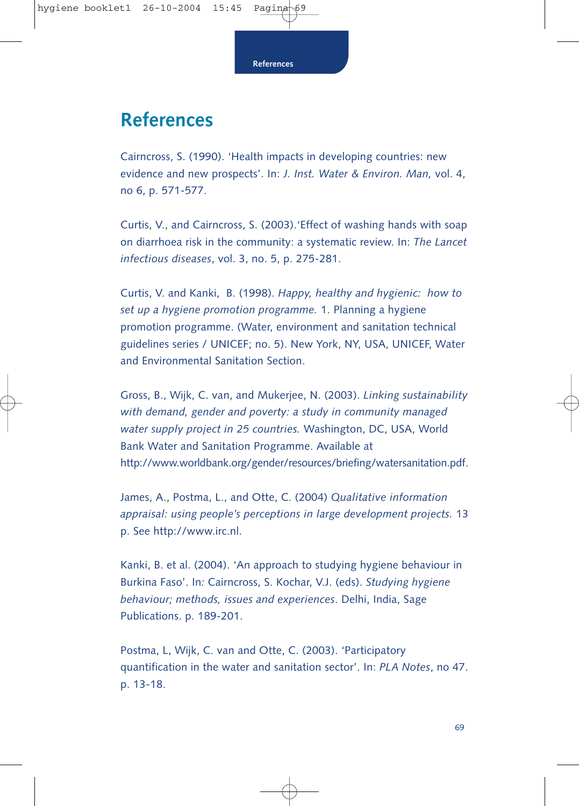**References**

## **References**

Cairncross, S. (1990). 'Health impacts in developing countries: new evidence and new prospects'. In: *J. Inst. Water & Environ. Man,* vol. 4, no 6, p. 571-577.

Curtis, V., and Cairncross, S. (2003).'Effect of washing hands with soap on diarrhoea risk in the community: a systematic review. In: *The Lancet infectious diseases*, vol. 3, no. 5, p. 275-281.

Curtis, V. and Kanki, B. (1998). *Happy, healthy and hygienic: how to set up a hygiene promotion programme.* 1. Planning a hygiene promotion programme. (Water, environment and sanitation technical guidelines series / UNICEF; no. 5). New York, NY, USA, UNICEF, Water and Environmental Sanitation Section.

Gross, B., Wijk, C. van, and Mukerjee, N. (2003). *Linking sustainability with demand, gender and poverty: a study in community managed water supply project in 25 countries.* Washington, DC, USA, World Bank Water and Sanitation Programme. Available at http://www.worldbank.org/gender/resources/briefing/watersanitation.pdf.

James, A., Postma, L., and Otte, C. (2004) *Qualitative information appraisal: using people's perceptions in large development projects.* 13 p. See http://www.irc.nl.

Kanki, B. et al. (2004). 'An approach to studying hygiene behaviour in Burkina Faso'. In*:* Cairncross, S. Kochar, V.J. (eds). *Studying hygiene behaviour; methods, issues and experiences*. Delhi, India, Sage Publications. p. 189-201.

Postma, L, Wijk, C. van and Otte, C. (2003). 'Participatory quantification in the water and sanitation sector'. In: *PLA Notes*, no 47. p. 13-18.